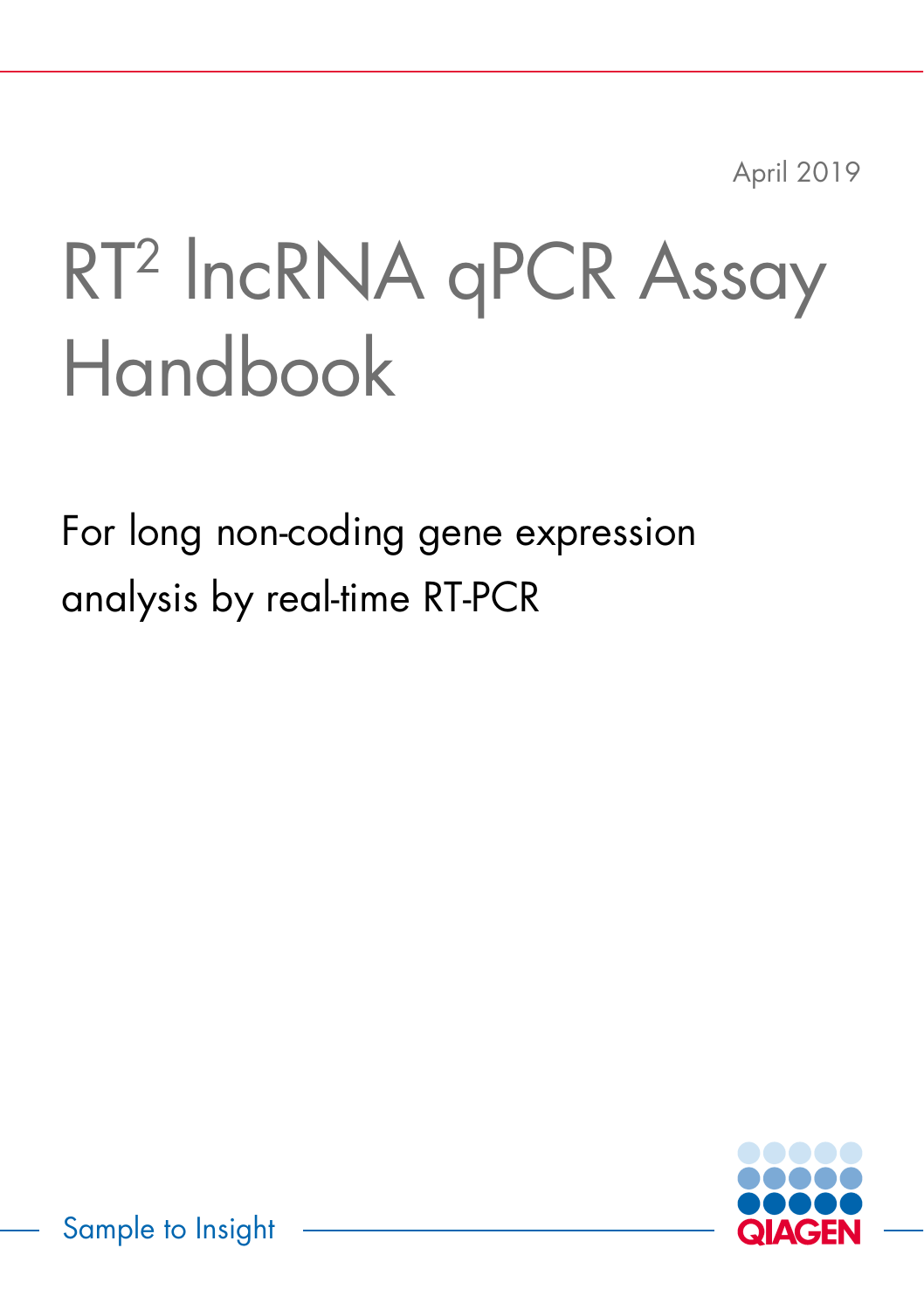April 2019

# RT2 lncRNA qPCR Assay Handbook

For long non-coding gene expression analysis by real-time RT-PCR



Sample to Insight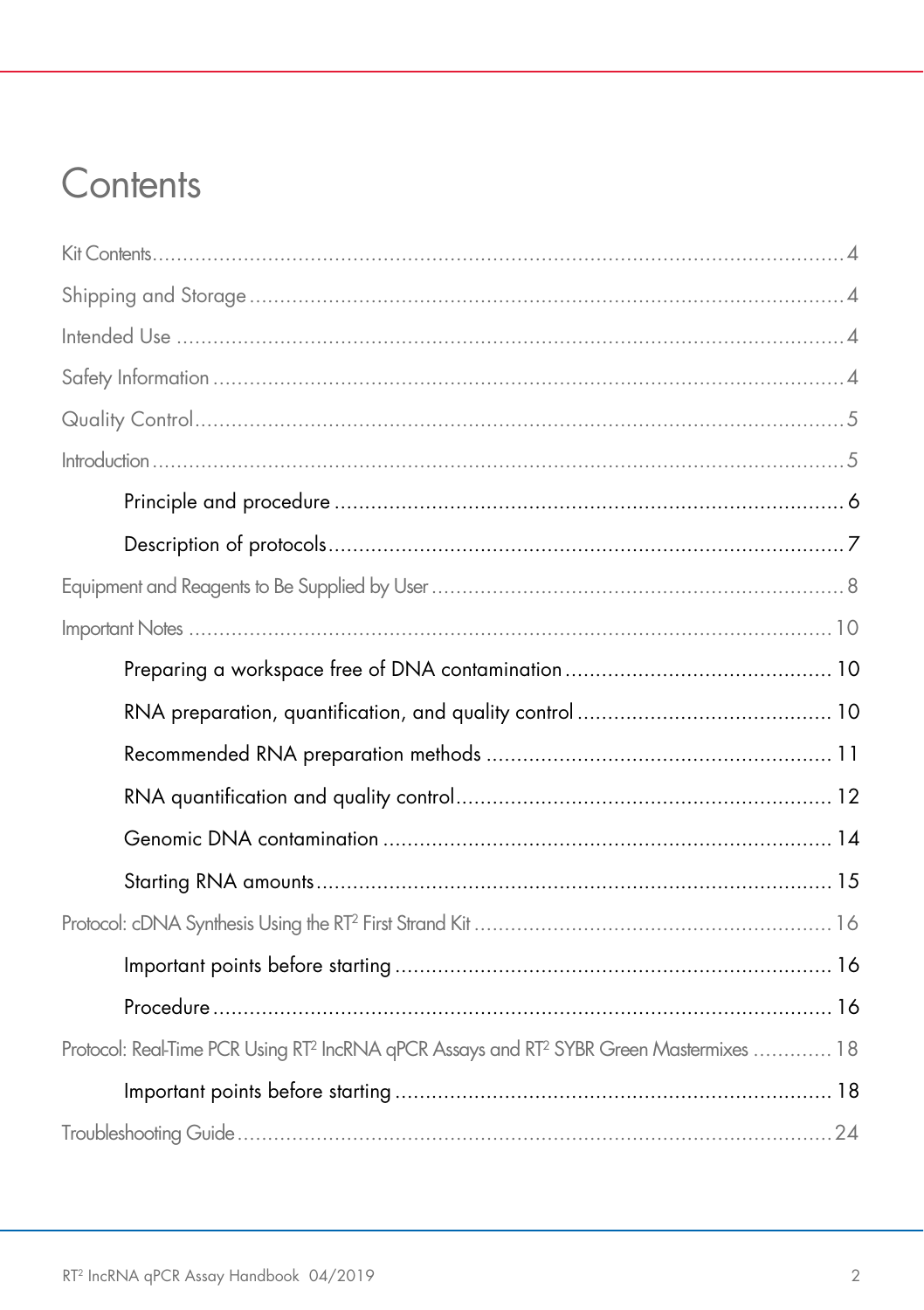# Contents

| Protocol: Real-Time PCR Using RT <sup>2</sup> IncRNA qPCR Assays and RT <sup>2</sup> SYBR Green Mastermixes  18 |
|-----------------------------------------------------------------------------------------------------------------|
|                                                                                                                 |
|                                                                                                                 |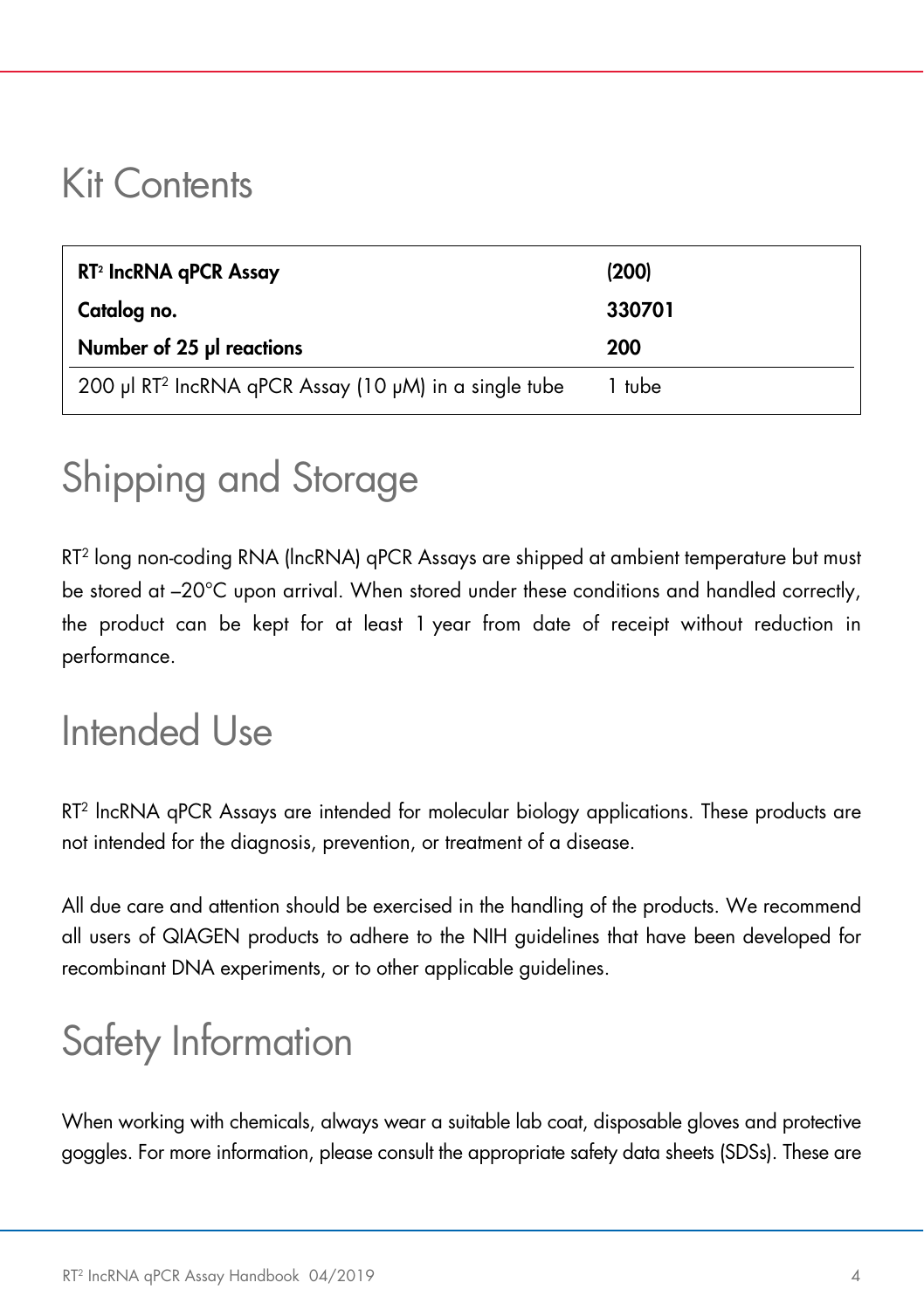## <span id="page-3-0"></span>Kit Contents

| RT <sup>2</sup> IncRNA qPCR Assay | (200)  |
|-----------------------------------|--------|
| Catalog no.                       | 330701 |
|                                   |        |
| Number of 25 µl reactions         | 200    |

# <span id="page-3-1"></span>Shipping and Storage

RT2 long non-coding RNA (lncRNA) qPCR Assays are shipped at ambient temperature but must be stored at –20°C upon arrival. When stored under these conditions and handled correctly, the product can be kept for at least 1 year from date of receipt without reduction in performance.

# <span id="page-3-2"></span>Intended Use

RT2 lncRNA qPCR Assays are intended for molecular biology applications. These products are not intended for the diagnosis, prevention, or treatment of a disease.

All due care and attention should be exercised in the handling of the products. We recommend all users of QIAGEN products to adhere to the NIH guidelines that have been developed for recombinant DNA experiments, or to other applicable guidelines.

# <span id="page-3-3"></span>Safety Information

When working with chemicals, always wear a suitable lab coat, disposable gloves and protective goggles. For more information, please consult the appropriate safety data sheets (SDSs). These are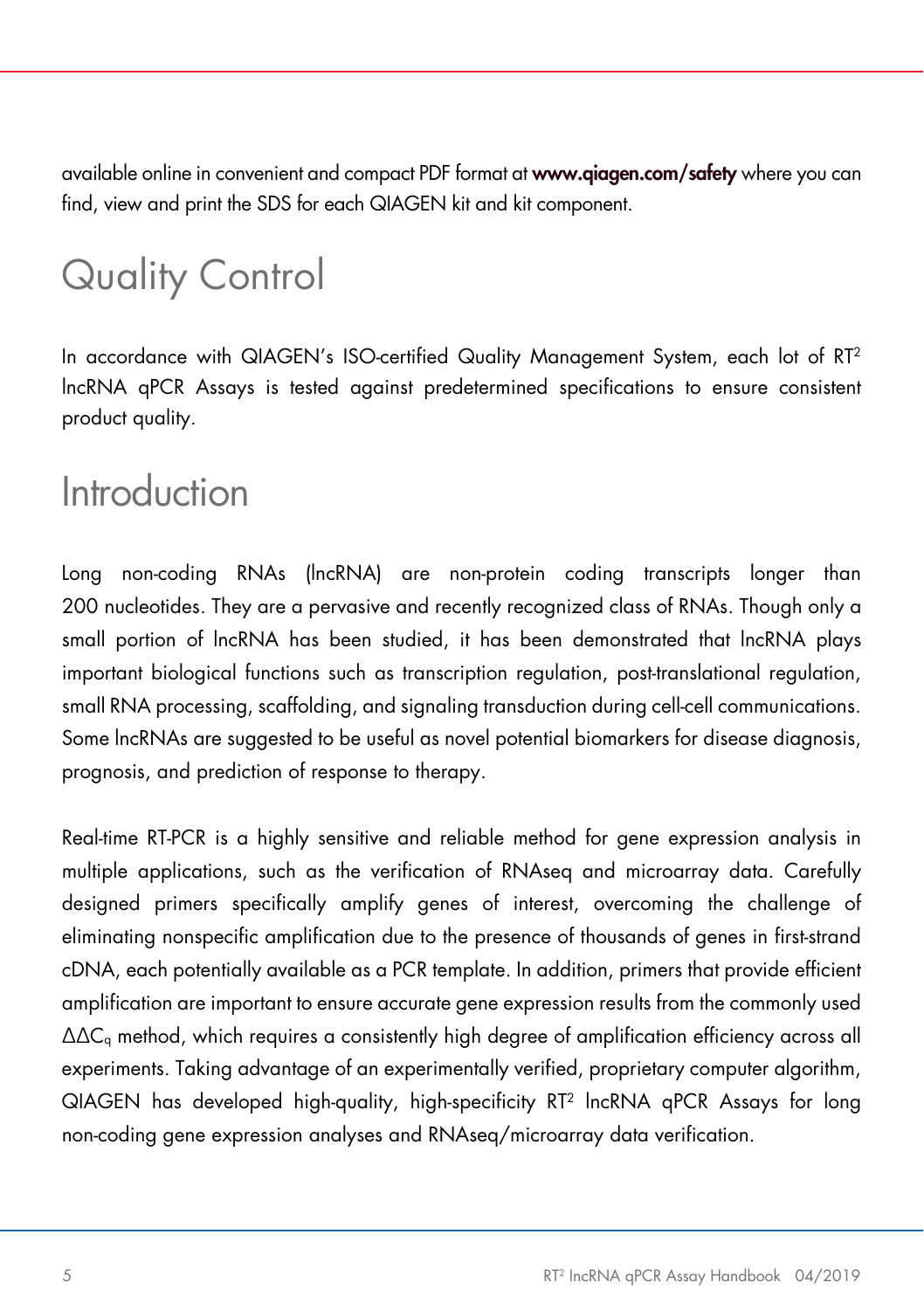available online in convenient and compact PDF format at [www.qiagen.com/safety](https://www.qiagen.com/us/support/qa-qc-safety-data/safety-data-sheets/) where you can find, view and print the SDS for each QIAGEN kit and kit component.

# <span id="page-4-0"></span>Quality Control

In accordance with QIAGEN's ISO-certified Quality Management System, each lot of RT2 lncRNA qPCR Assays is tested against predetermined specifications to ensure consistent product quality.

## <span id="page-4-1"></span>**Introduction**

Long non-coding RNAs (lncRNA) are non-protein coding transcripts longer than 200 nucleotides. They are a pervasive and recently recognized class of RNAs. Though only a small portion of lncRNA has been studied, it has been demonstrated that lncRNA plays important biological functions such as transcription regulation, post-translational regulation, small RNA processing, scaffolding, and signaling transduction during cell-cell communications. Some lncRNAs are suggested to be useful as novel potential biomarkers for disease diagnosis, prognosis, and prediction of response to therapy.

Real-time RT-PCR is a highly sensitive and reliable method for gene expression analysis in multiple applications, such as the verification of RNAseq and microarray data. Carefully designed primers specifically amplify genes of interest, overcoming the challenge of eliminating nonspecific amplification due to the presence of thousands of genes in first-strand cDNA, each potentially available as a PCR template. In addition, primers that provide efficient amplification are important to ensure accurate gene expression results from the commonly used  $\Delta\Delta C_q$  method, which requires a consistently high degree of amplification efficiency across all experiments. Taking advantage of an experimentally verified, proprietary computer algorithm, QIAGEN has developed high-quality, high-specificity RT2 lncRNA qPCR Assays for long non-coding gene expression analyses and RNAseq/microarray data verification.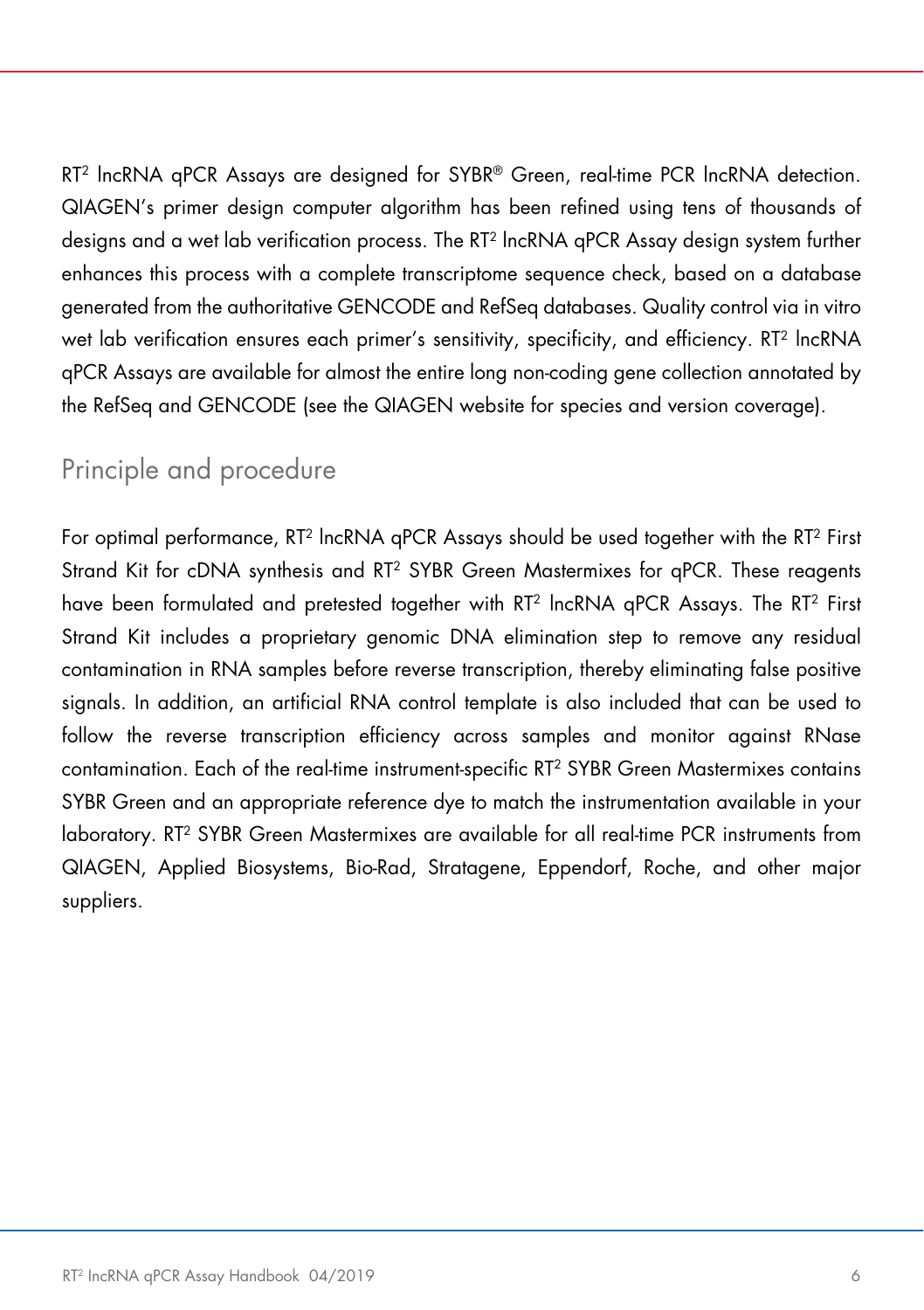RT2 lncRNA qPCR Assays are designed for SYBR® Green, real-time PCR lncRNA detection. QIAGEN's primer design computer algorithm has been refined using tens of thousands of designs and a wet lab verification process. The RT2 lncRNA qPCR Assay design system further enhances this process with a complete transcriptome sequence check, based on a database generated from the authoritative GENCODE and RefSeq databases. Quality control via in vitro wet lab verification ensures each primer's sensitivity, specificity, and efficiency. RT2 lncRNA qPCR Assays are available for almost the entire long non-coding gene collection annotated by the RefSeq and GENCODE (see the QIAGEN website for species and version coverage).

### <span id="page-5-0"></span>Principle and procedure

For optimal performance, RT2 lncRNA qPCR Assays should be used together with the RT2 First Strand Kit for cDNA synthesis and RT2 SYBR Green Mastermixes for qPCR. These reagents have been formulated and pretested together with RT<sup>2</sup> lncRNA gPCR Assays. The RT<sup>2</sup> First Strand Kit includes a proprietary genomic DNA elimination step to remove any residual contamination in RNA samples before reverse transcription, thereby eliminating false positive signals. In addition, an artificial RNA control template is also included that can be used to follow the reverse transcription efficiency across samples and monitor against RNase contamination. Each of the real-time instrument-specific RT2 SYBR Green Mastermixes contains SYBR Green and an appropriate reference dye to match the instrumentation available in your laboratory. RT2 SYBR Green Mastermixes are available for all real-time PCR instruments from QIAGEN, Applied Biosystems, Bio-Rad, Stratagene, Eppendorf, Roche, and other major suppliers.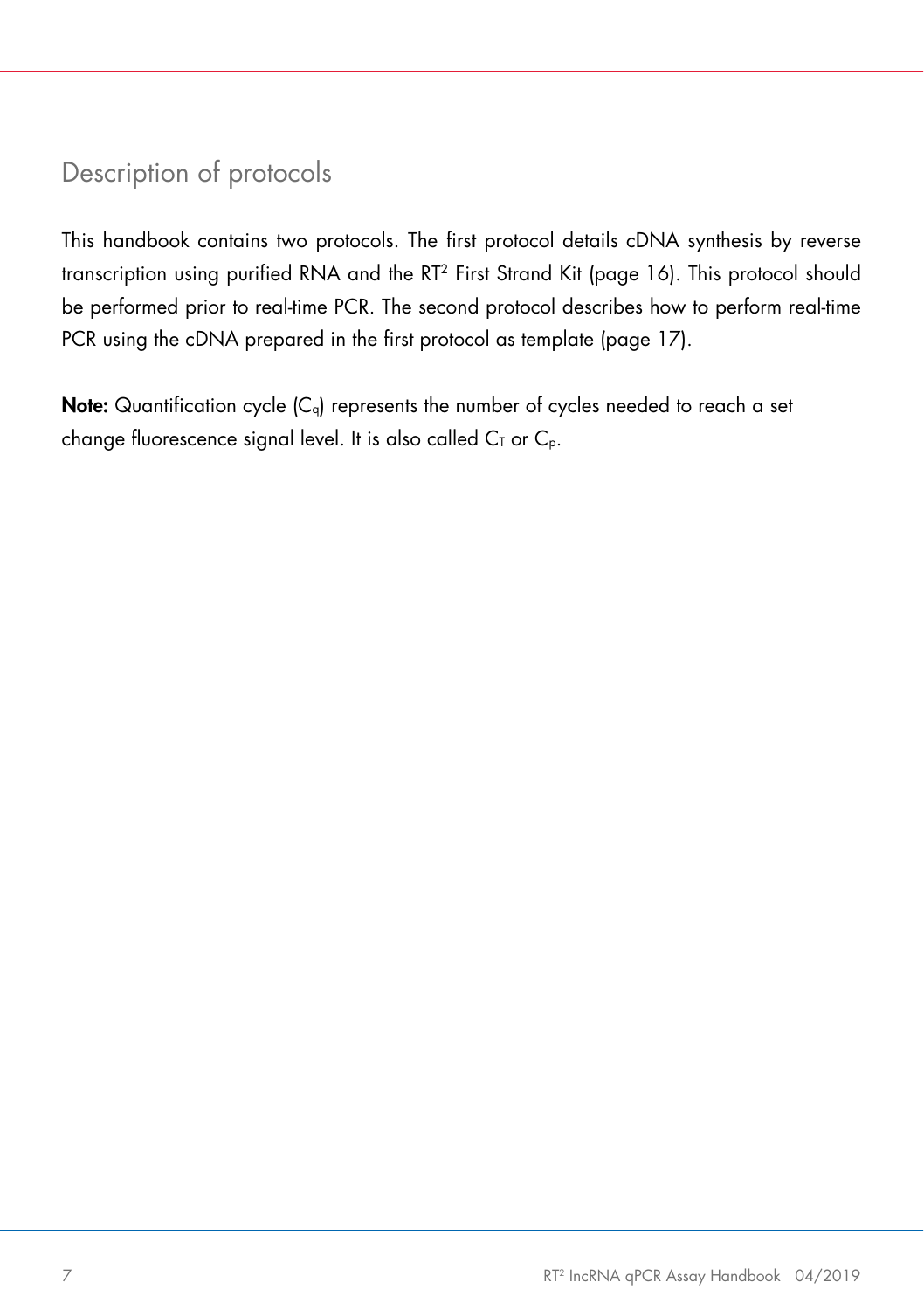### <span id="page-6-0"></span>Description of protocols

This handbook contains two protocols. The first protocol details cDNA synthesis by reverse transcription using purified RNA and the RT2 First Strand Kit (page 16). This protocol should be performed prior to real-time PCR. The second protocol describes how to perform real-time PCR using the cDNA prepared in the first protocol as template (page 17).

**Note:** Quantification cycle  $(C_q)$  represents the number of cycles needed to reach a set change fluorescence signal level. It is also called  $C<sub>T</sub>$  or  $C<sub>p</sub>$ .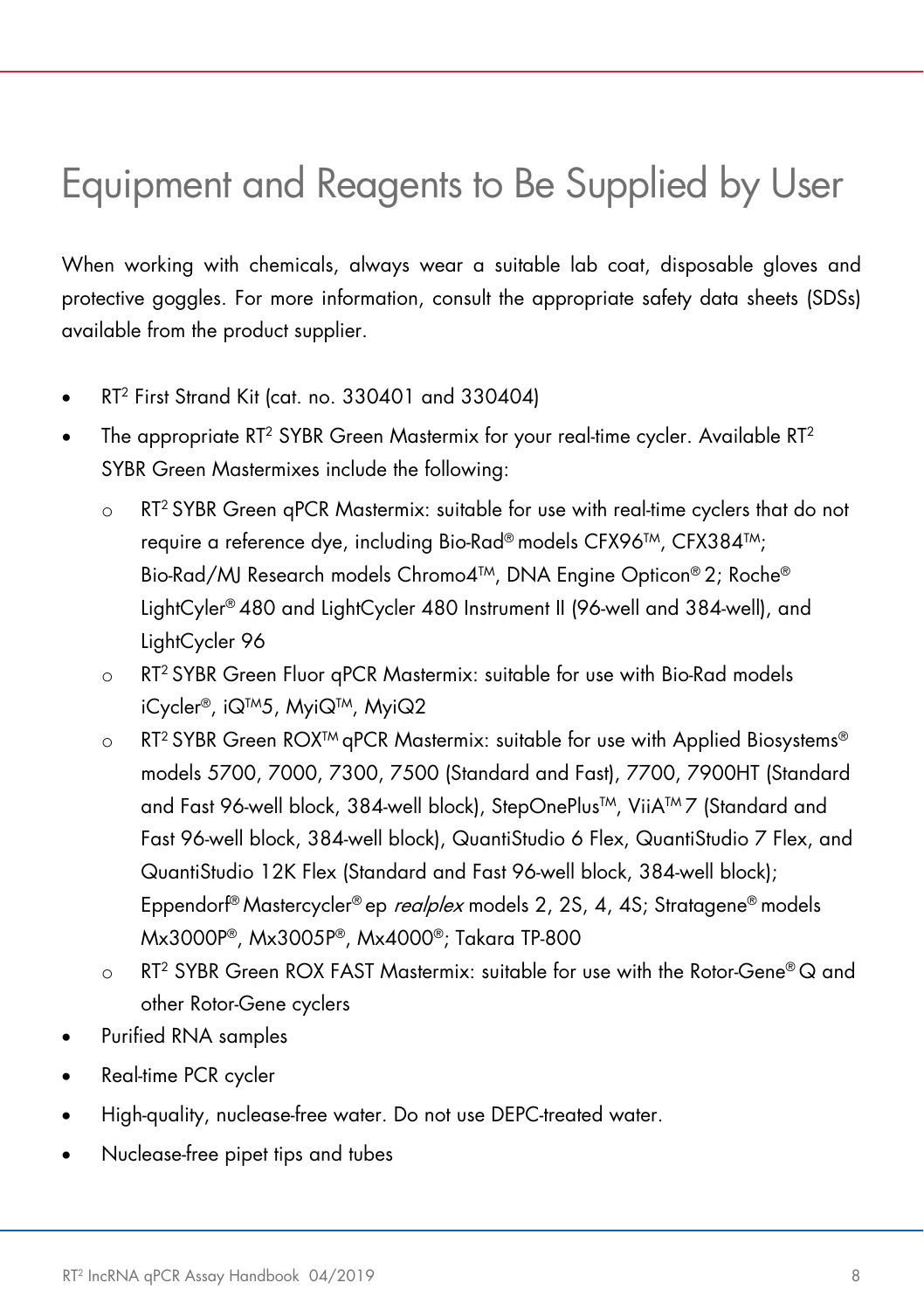# <span id="page-7-1"></span><span id="page-7-0"></span>Equipment and Reagents to Be Supplied by User

When working with chemicals, always wear a suitable lab coat, disposable gloves and protective goggles. For more information, consult the appropriate safety data sheets (SDSs) available from the product supplier.

- RT2 First Strand Kit (cat. no. 330401 and 330404)
- The appropriate RT<sup>2</sup> SYBR Green Mastermix for your real-time cycler. Available RT<sup>2</sup> SYBR Green Mastermixes include the following:
	- $\circ$  RT<sup>2</sup> SYBR Green gPCR Mastermix: suitable for use with real-time cyclers that do not require a reference dye, including Bio-Rad® models CFX96TM, CFX384TM; Bio-Rad/MJ Research models Chromo4TM, DNA Engine Opticon® 2; Roche® LightCyler® 480 and LightCycler 480 Instrument II (96-well and 384-well), and LightCycler 96
	- o RT2 SYBR Green Fluor qPCR Mastermix: suitable for use with Bio-Rad models iCycler®, iQTM5, MyiQTM, MyiQ2
	- $\circ$  RT<sup>2</sup> SYBR Green ROX<sup>TM</sup> qPCR Mastermix: suitable for use with Applied Biosystems<sup>®</sup> models 5700, 7000, 7300, 7500 (Standard and Fast), 7700, 7900HT (Standard and Fast 96-well block, 384-well block), StepOnePlus™, ViiA™ 7 (Standard and Fast 96-well block, 384-well block), QuantiStudio 6 Flex, QuantiStudio 7 Flex, and QuantiStudio 12K Flex (Standard and Fast 96-well block, 384-well block); Eppendorf<sup>®</sup> Mastercycler<sup>®</sup> ep *realplex* models 2, 2S, 4, 4S; Stratagene<sup>®</sup> models Mx3000P®, Mx3005P®, Mx4000®; Takara TP-800
	- $\Omega$  RT<sup>2</sup> SYBR Green ROX FAST Mastermix: suitable for use with the Rotor-Gene® Q and other Rotor-Gene cyclers
- Purified RNA samples
- Real-time PCR cycler
- High-quality, nuclease-free water. Do not use DEPC-treated water.
- Nuclease-free pipet tips and tubes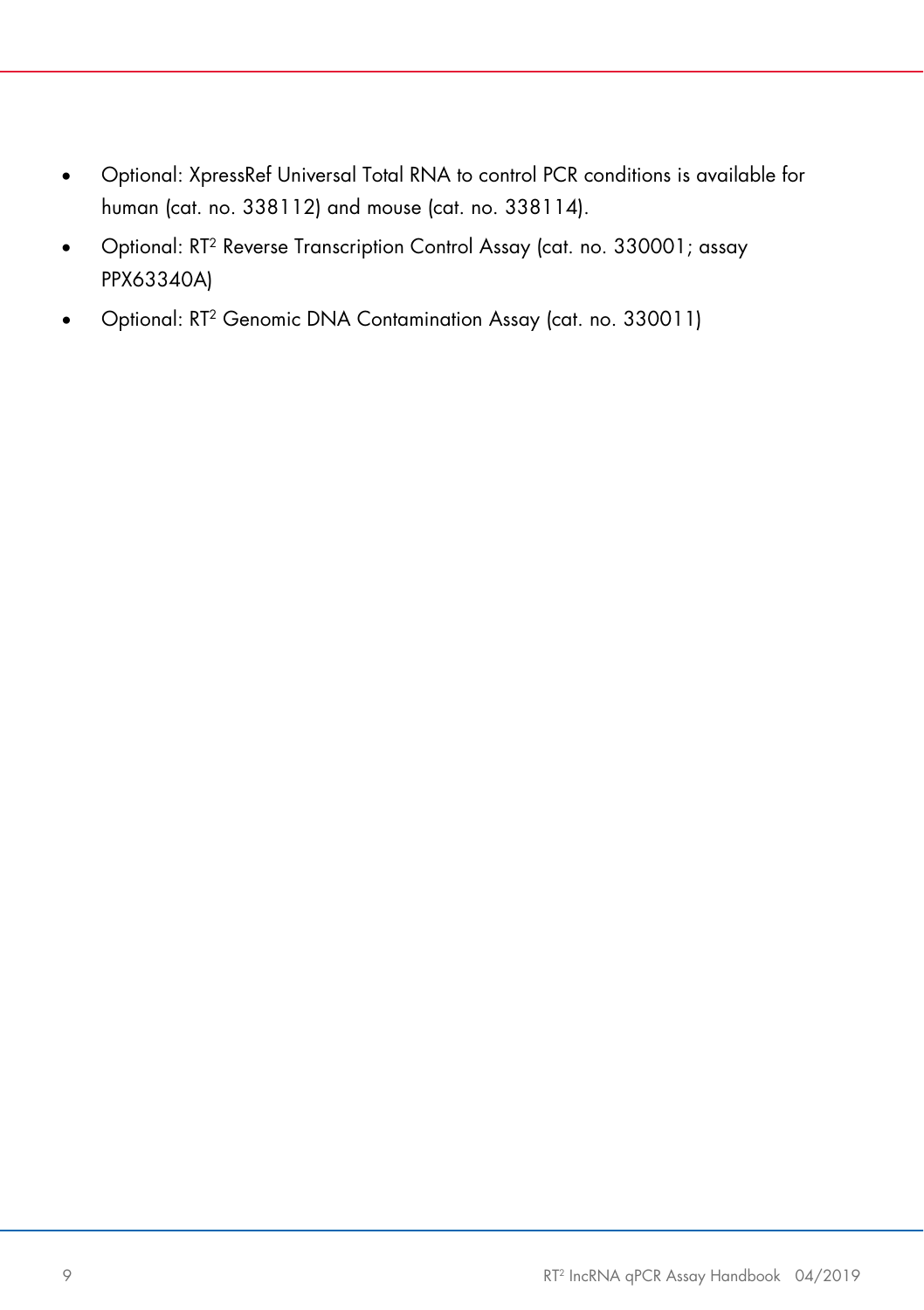- Optional: XpressRef Universal Total RNA to control PCR conditions is available for human (cat. no. 338112) and mouse (cat. no. 338114).
- Optional: RT2 Reverse Transcription Control Assay (cat. no. 330001; assay PPX63340A)
- Optional: RT2 Genomic DNA Contamination Assay (cat. no. 330011)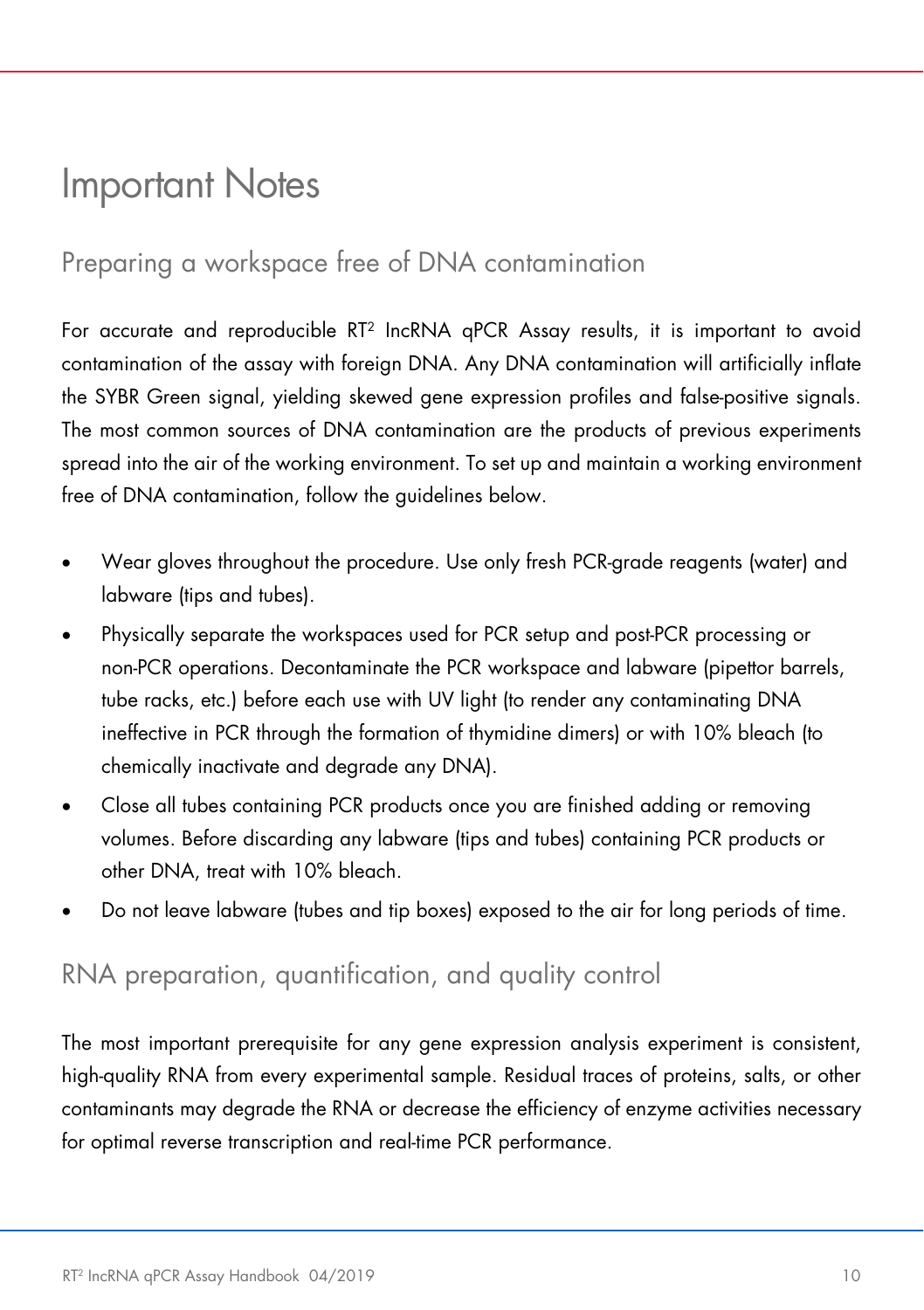### <span id="page-9-0"></span>Important Notes

### <span id="page-9-1"></span>Preparing a workspace free of DNA contamination

For accurate and reproducible RT2 IncRNA qPCR Assay results, it is important to avoid contamination of the assay with foreign DNA. Any DNA contamination will artificially inflate the SYBR Green signal, yielding skewed gene expression profiles and false-positive signals. The most common sources of DNA contamination are the products of previous experiments spread into the air of the working environment. To set up and maintain a working environment free of DNA contamination, follow the guidelines below.

- Wear gloves throughout the procedure. Use only fresh PCR-grade reagents (water) and labware (tips and tubes).
- Physically separate the workspaces used for PCR setup and post-PCR processing or non-PCR operations. Decontaminate the PCR workspace and labware (pipettor barrels, tube racks, etc.) before each use with UV light (to render any contaminating DNA ineffective in PCR through the formation of thymidine dimers) or with 10% bleach (to chemically inactivate and degrade any DNA).
- Close all tubes containing PCR products once you are finished adding or removing volumes. Before discarding any labware (tips and tubes) containing PCR products or other DNA, treat with 10% bleach.
- Do not leave labware (tubes and tip boxes) exposed to the air for long periods of time.

### <span id="page-9-2"></span>RNA preparation, quantification, and quality control

The most important prerequisite for any gene expression analysis experiment is consistent, high-quality RNA from every experimental sample. Residual traces of proteins, salts, or other contaminants may degrade the RNA or decrease the efficiency of enzyme activities necessary for optimal reverse transcription and real-time PCR performance.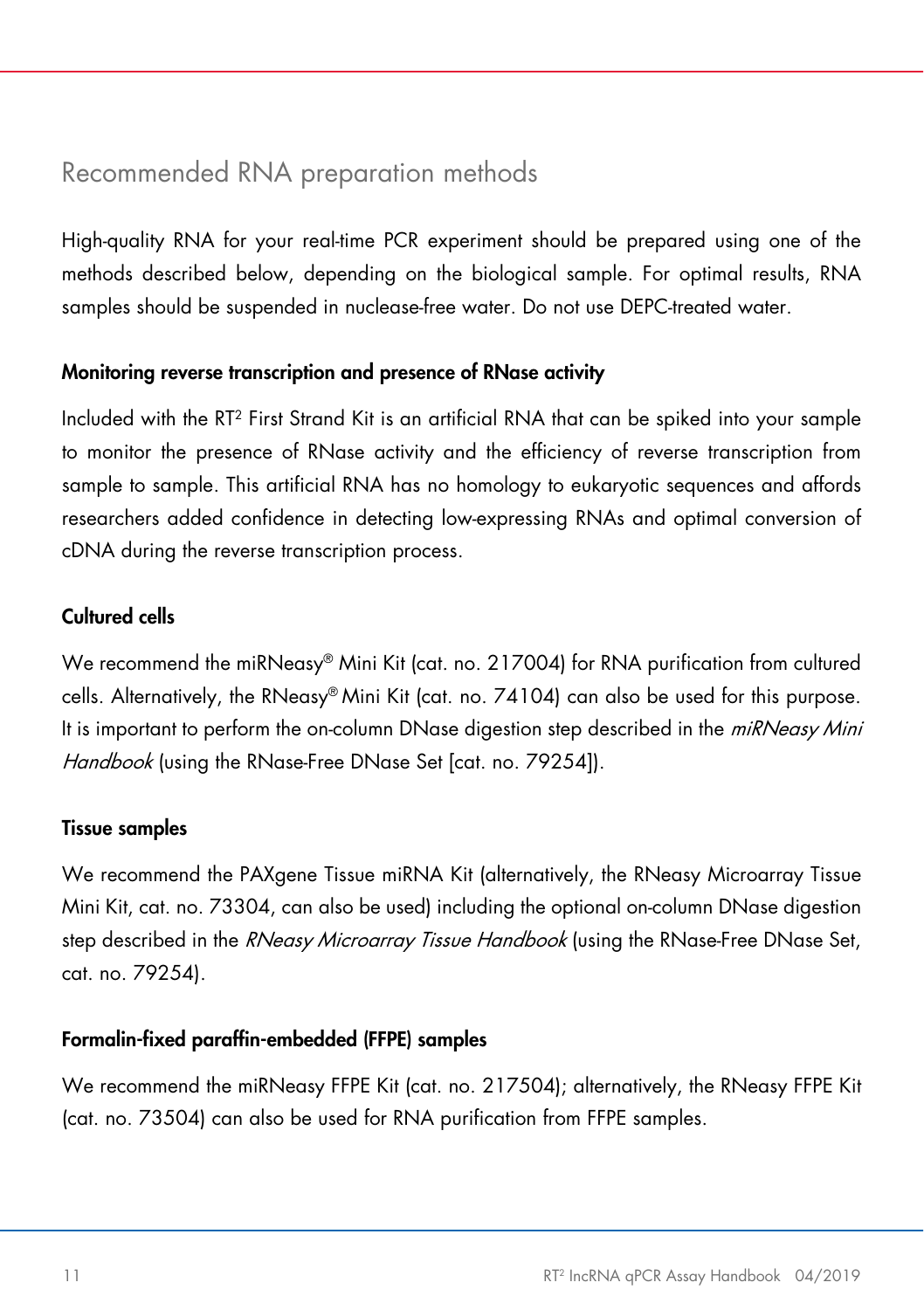### <span id="page-10-0"></span>Recommended RNA preparation methods

High-quality RNA for your real-time PCR experiment should be prepared using one of the methods described below, depending on the biological sample. For optimal results, RNA samples should be suspended in nuclease-free water. Do not use DEPC-treated water.

#### Monitoring reverse transcription and presence of RNase activity

Included with the RT2 First Strand Kit is an artificial RNA that can be spiked into your sample to monitor the presence of RNase activity and the efficiency of reverse transcription from sample to sample. This artificial RNA has no homology to eukaryotic sequences and affords researchers added confidence in detecting low-expressing RNAs and optimal conversion of cDNA during the reverse transcription process.

#### Cultured cells

We recommend the miRNeasy® Mini Kit (cat. no. 217004) for RNA purification from cultured cells. Alternatively, the RNeasy® Mini Kit (cat. no. 74104) can also be used for this purpose. It is important to perform the on-column DNase digestion step described in the *miRNeasy Mini* Handbook (using the RNase-Free DNase Set [cat. no. 79254]).

#### Tissue samples

We recommend the PAXgene Tissue miRNA Kit (alternatively, the RNeasy Microarray Tissue Mini Kit, cat. no. 73304, can also be used) including the optional on-column DNase digestion step described in the RNeasy Microarray Tissue Handbook (using the RNase-Free DNase Set, cat. no. 79254).

#### Formalin-fixed paraffin-embedded (FFPE) samples

We recommend the miRNeasy FFPE Kit (cat. no. 217504); alternatively, the RNeasy FFPE Kit (cat. no. 73504) can also be used for RNA purification from FFPE samples.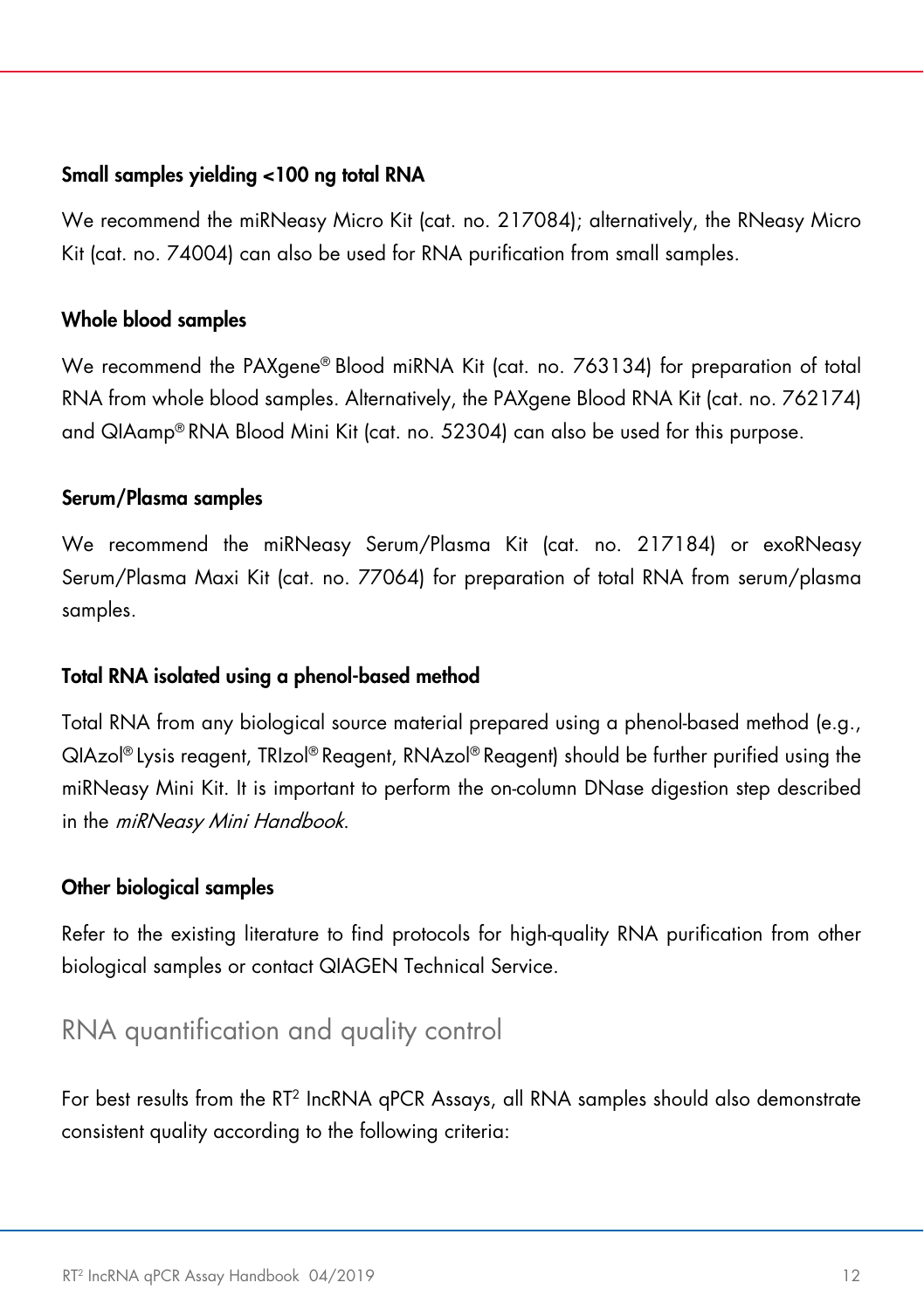#### Small samples yielding <100 ng total RNA

We recommend the miRNeasy Micro Kit (cat. no. 217084); alternatively, the RNeasy Micro Kit (cat. no. 74004) can also be used for RNA purification from small samples.

#### Whole blood samples

We recommend the PAXgene® Blood miRNA Kit (cat. no. 763134) for preparation of total RNA from whole blood samples. Alternatively, the PAXgene Blood RNA Kit (cat. no. 762174) and QIAamp® RNA Blood Mini Kit (cat. no. 52304) can also be used for this purpose.

#### Serum/Plasma samples

We recommend the miRNeasy Serum/Plasma Kit (cat. no. 217184) or exoRNeasy Serum/Plasma Maxi Kit (cat. no. 77064) for preparation of total RNA from serum/plasma samples.

#### Total RNA isolated using a phenol-based method

Total RNA from any biological source material prepared using a phenol-based method (e.g., QIAzol® Lysis reagent, TRIzol® Reagent, RNAzol® Reagent) should be further purified using the miRNeasy Mini Kit. It is important to perform the on-column DNase digestion step described in the *miRNeasy Mini Handbook*.

#### Other biological samples

Refer to the existing literature to find protocols for high-quality RNA purification from other biological samples or contact QIAGEN Technical Service.

### <span id="page-11-0"></span>RNA quantification and quality control

For best results from the RT2 IncRNA qPCR Assays, all RNA samples should also demonstrate consistent quality according to the following criteria: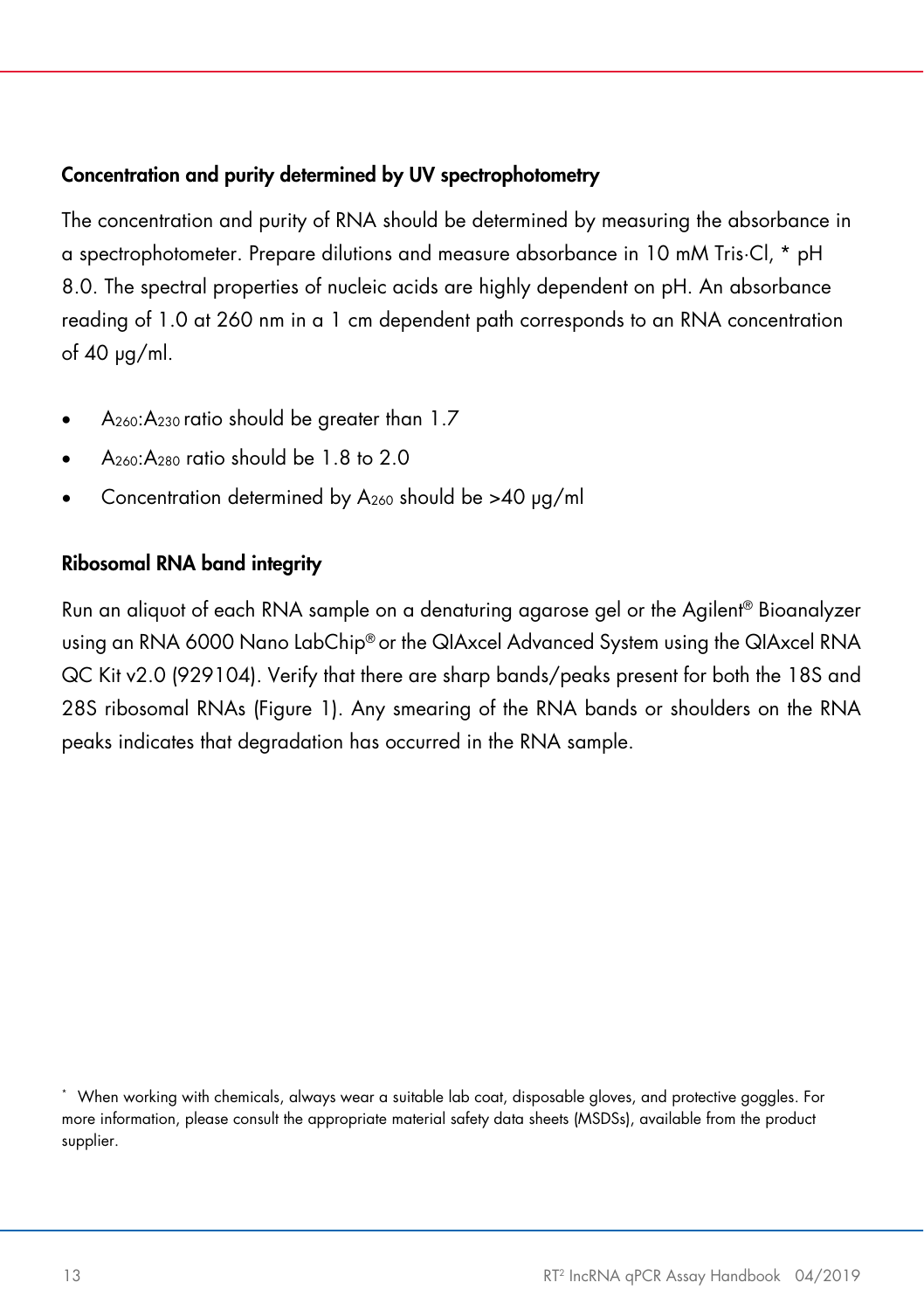#### Concentration and purity determined by UV spectrophotometry

The concentration and purity of RNA should be determined by measuring the absorbance in a spectrophotometer. Prepare dilutions and measure absorbance in 10 mM Tris·Cl, [\\*](#page-12-0) pH 8.0. The spectral properties of nucleic acids are highly dependent on pH. An absorbance reading of 1.0 at 260 nm in a 1 cm dependent path corresponds to an RNA concentration of 40 µg/ml.

- $A_{260}$ : $A_{230}$  ratio should be greater than 1.7
- A260:A280 ratio should be 1.8 to 2.0
- Concentration determined by  $A_{260}$  should be >40  $\mu$ g/ml

#### Ribosomal RNA band integrity

Run an aliquot of each RNA sample on a denaturing agarose gel or the Agilent® Bioanalyzer using an RNA 6000 Nano LabChip® or the QIAxcel Advanced System using the QIAxcel RNA QC Kit v2.0 (929104). Verify that there are sharp bands/peaks present for both the 18S and 28S ribosomal RNAs [\(Figure 1\)](#page-13-1). Any smearing of the RNA bands or shoulders on the RNA peaks indicates that degradation has occurred in the RNA sample.

<span id="page-12-0"></span><sup>\*</sup> When working with chemicals, always wear a suitable lab coat, disposable gloves, and protective goggles. For more information, please consult the appropriate material safety data sheets (MSDSs), available from the product supplier.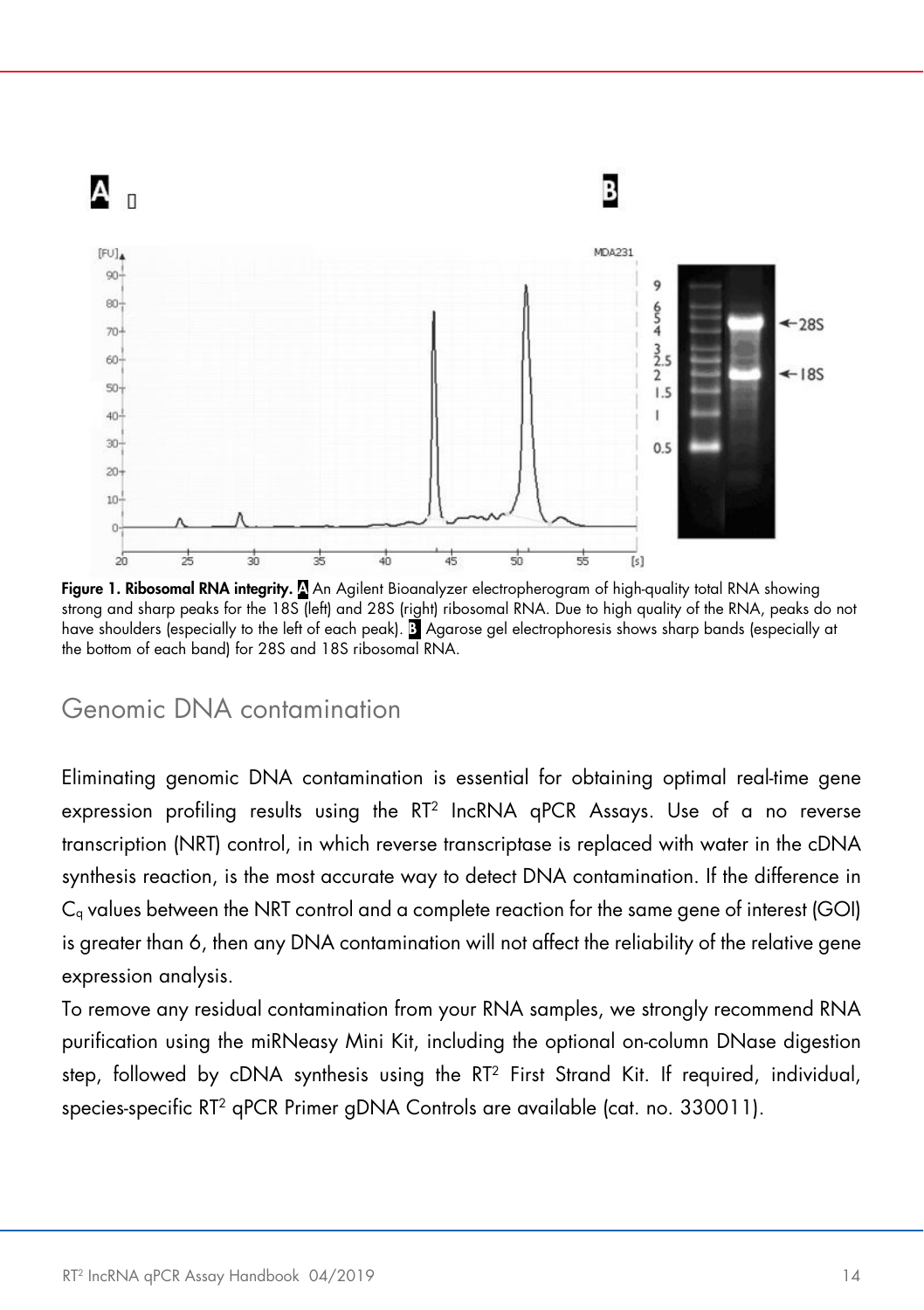

<span id="page-13-1"></span>Figure 1. Ribosomal RNA integrity. <sup>N</sup>An Agilent Bioanalyzer electropherogram of high-quality total RNA showing strong and sharp peaks for the 18S (left) and 28S (right) ribosomal RNA. Due to high quality of the RNA, peaks do not have shoulders (especially to the left of each peak). B Agarose gel electrophoresis shows sharp bands (especially at the bottom of each band) for 28S and 18S ribosomal RNA.

### <span id="page-13-0"></span>Genomic DNA contamination

Eliminating genomic DNA contamination is essential for obtaining optimal real-time gene expression profiling results using the RT2 IncRNA qPCR Assays. Use of a no reverse transcription (NRT) control, in which reverse transcriptase is replaced with water in the cDNA synthesis reaction, is the most accurate way to detect DNA contamination. If the difference in Cq values between the NRT control and a complete reaction for the same gene of interest (GOI) is greater than 6, then any DNA contamination will not affect the reliability of the relative gene expression analysis.

To remove any residual contamination from your RNA samples, we strongly recommend RNA purification using the miRNeasy Mini Kit, including the optional on-column DNase digestion step, followed by cDNA synthesis using the RT2 First Strand Kit. If required, individual, species-specific RT<sup>2</sup> qPCR Primer gDNA Controls are available (cat. no. 330011).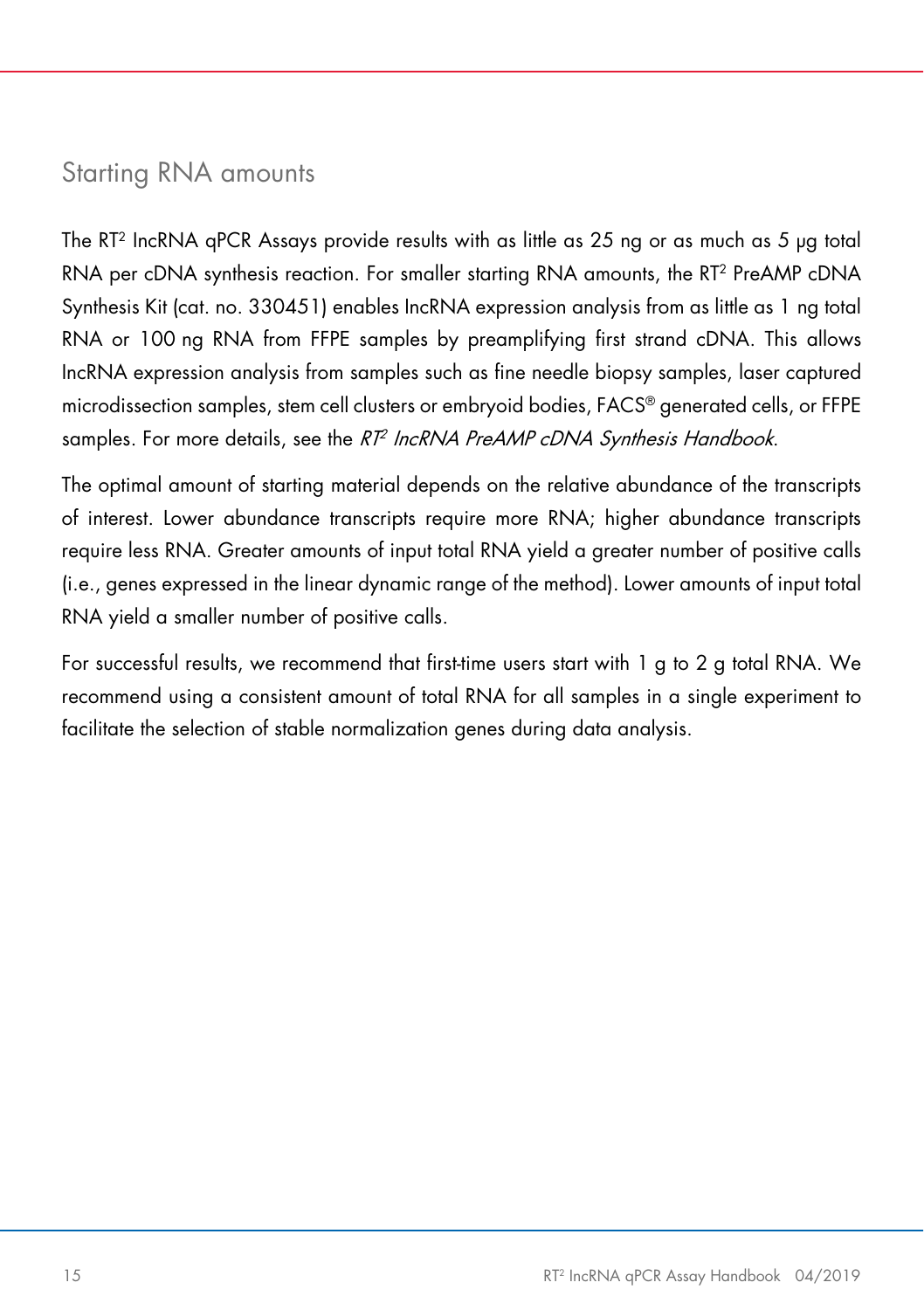### <span id="page-14-0"></span>Starting RNA amounts

The RT2 IncRNA qPCR Assays provide results with as little as 25 ng or as much as 5 µg total RNA per cDNA synthesis reaction. For smaller starting RNA amounts, the RT<sup>2</sup> PreAMP cDNA Synthesis Kit (cat. no. 330451) enables IncRNA expression analysis from as little as 1 ng total RNA or 100 ng RNA from FFPE samples by preamplifying first strand cDNA. This allows IncRNA expression analysis from samples such as fine needle biopsy samples, laser captured microdissection samples, stem cell clusters or embryoid bodies, FACS® generated cells, or FFPE samples. For more details, see the RT<sup>2</sup> IncRNA PreAMP cDNA Synthesis Handbook.

The optimal amount of starting material depends on the relative abundance of the transcripts of interest. Lower abundance transcripts require more RNA; higher abundance transcripts require less RNA. Greater amounts of input total RNA yield a greater number of positive calls (i.e., genes expressed in the linear dynamic range of the method). Lower amounts of input total RNA yield a smaller number of positive calls.

For successful results, we recommend that first-time users start with 1 g to 2 g total RNA. We recommend using a consistent amount of total RNA for all samples in a single experiment to facilitate the selection of stable normalization genes during data analysis.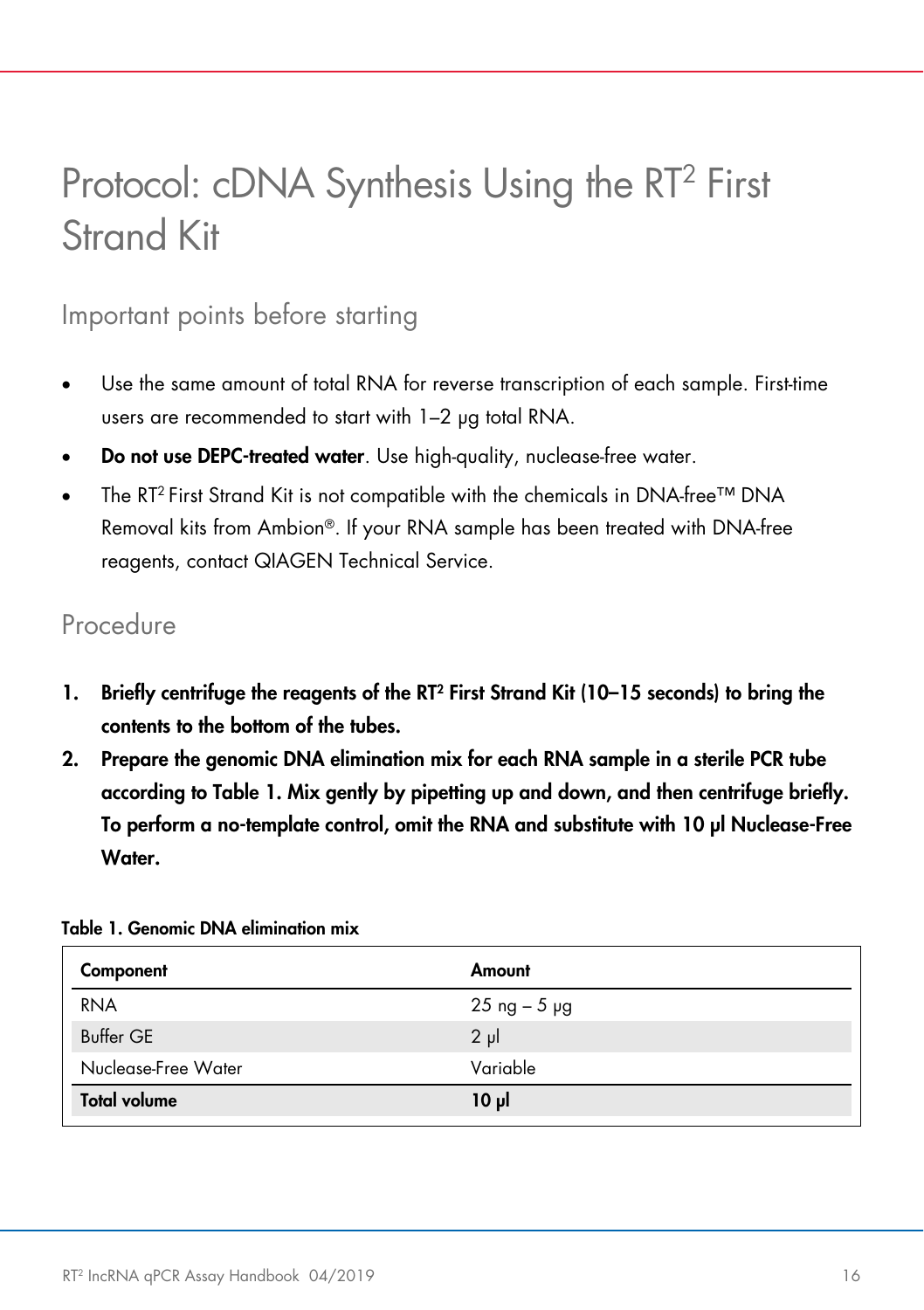# <span id="page-15-0"></span>Protocol: cDNA Synthesis Using the RT<sup>2</sup> First Strand Kit

### <span id="page-15-1"></span>Important points before starting

- Use the same amount of total RNA for reverse transcription of each sample. First-time users are recommended to start with 1–2 µg total RNA.
- Do not use DEPC-treated water. Use high-quality, nuclease-free water.
- The RT<sup>2</sup> First Strand Kit is not compatible with the chemicals in DNA-free<sup>™</sup> DNA Removal kits from Ambion®. If your RNA sample has been treated with DNA-free reagents, contact QIAGEN Technical Service.

### <span id="page-15-2"></span>Procedure

- 1. Briefly centrifuge the reagents of the RT2 First Strand Kit (10–15 seconds) to bring the contents to the bottom of the tubes.
- 2. Prepare the genomic DNA elimination mix for each RNA sample in a sterile PCR tube according to [Table 1.](#page-15-3) Mix gently by pipetting up and down, and then centrifuge briefly. To perform a no-template control, omit the RNA and substitute with 10 µl Nuclease-Free Water.

| Component           | Amount          |
|---------------------|-----------------|
| <b>RNA</b>          | $25$ ng $-5$ µg |
| Buffer GE           | $2 \mu$         |
| Nuclease-Free Water | Variable        |
| <b>Total volume</b> | 10 µl           |

#### <span id="page-15-3"></span>Table 1. Genomic DNA elimination mix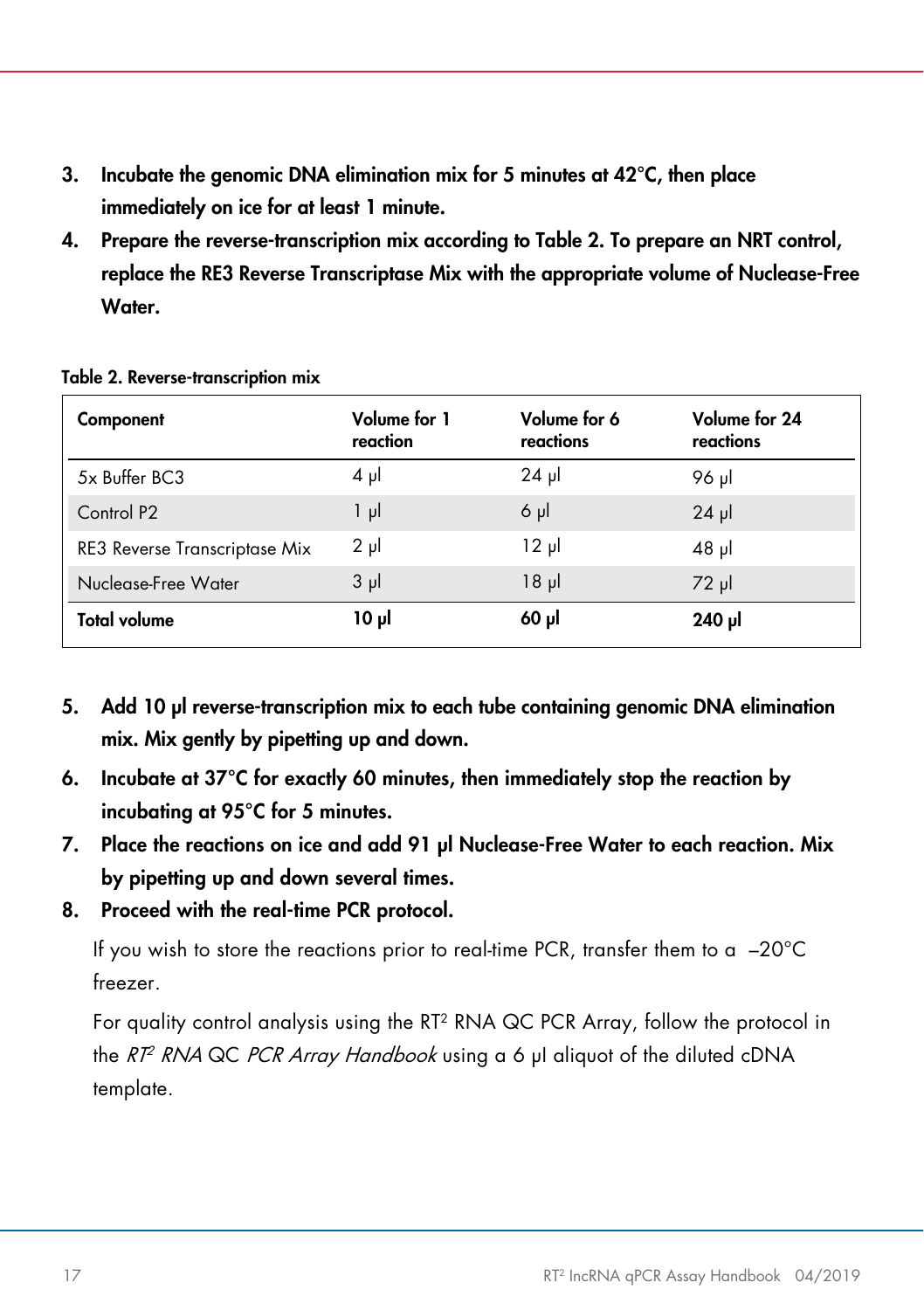- 3. Incubate the genomic DNA elimination mix for 5 minutes at 42°C, then place immediately on ice for at least 1 minute.
- 4. Prepare the reverse-transcription mix according to [Table 2.](#page-16-0) To prepare an NRT control, replace the RE3 Reverse Transcriptase Mix with the appropriate volume of Nuclease-Free Water.

| Component                            | Volume for 1<br>reaction | Volume for 6<br>reactions | Volume for 24<br>reactions |
|--------------------------------------|--------------------------|---------------------------|----------------------------|
| 5x Buffer BC3                        | $4 \mu$                  | $24$ pl                   | 96 µl                      |
| Control P <sub>2</sub>               | $1 \mu$                  | $6 \mu$                   | $24$ µ                     |
| <b>RE3 Reverse Transcriptase Mix</b> | $2 \mu$                  | $12 \mu$                  | $48$ pl                    |
| Nuclease-Free Water                  | $3 \mu$                  | 18 <sub>µ</sub>           | $72 \mu$                   |
| <b>Total volume</b>                  | 10 µl                    | $60$ $\mu$                | 240 µl                     |

<span id="page-16-0"></span>Table 2. Reverse-transcription mix

- 5. Add 10 µl reverse-transcription mix to each tube containing genomic DNA elimination mix. Mix gently by pipetting up and down.
- 6. Incubate at 37°C for exactly 60 minutes, then immediately stop the reaction by incubating at 95°C for 5 minutes.
- 7. Place the reactions on ice and add 91 µl Nuclease-Free Water to each reaction. Mix by pipetting up and down several times.
- 8. Proceed with the real-time PCR protocol.

If you wish to store the reactions prior to real-time PCR, transfer them to a  $-20^{\circ}$ C freezer.

For quality control analysis using the RT<sup>2</sup> RNA QC PCR Array, follow the protocol in the RT<sup>2</sup> RNA QC PCR Array Handbook using a 6 µl aliquot of the diluted cDNA template.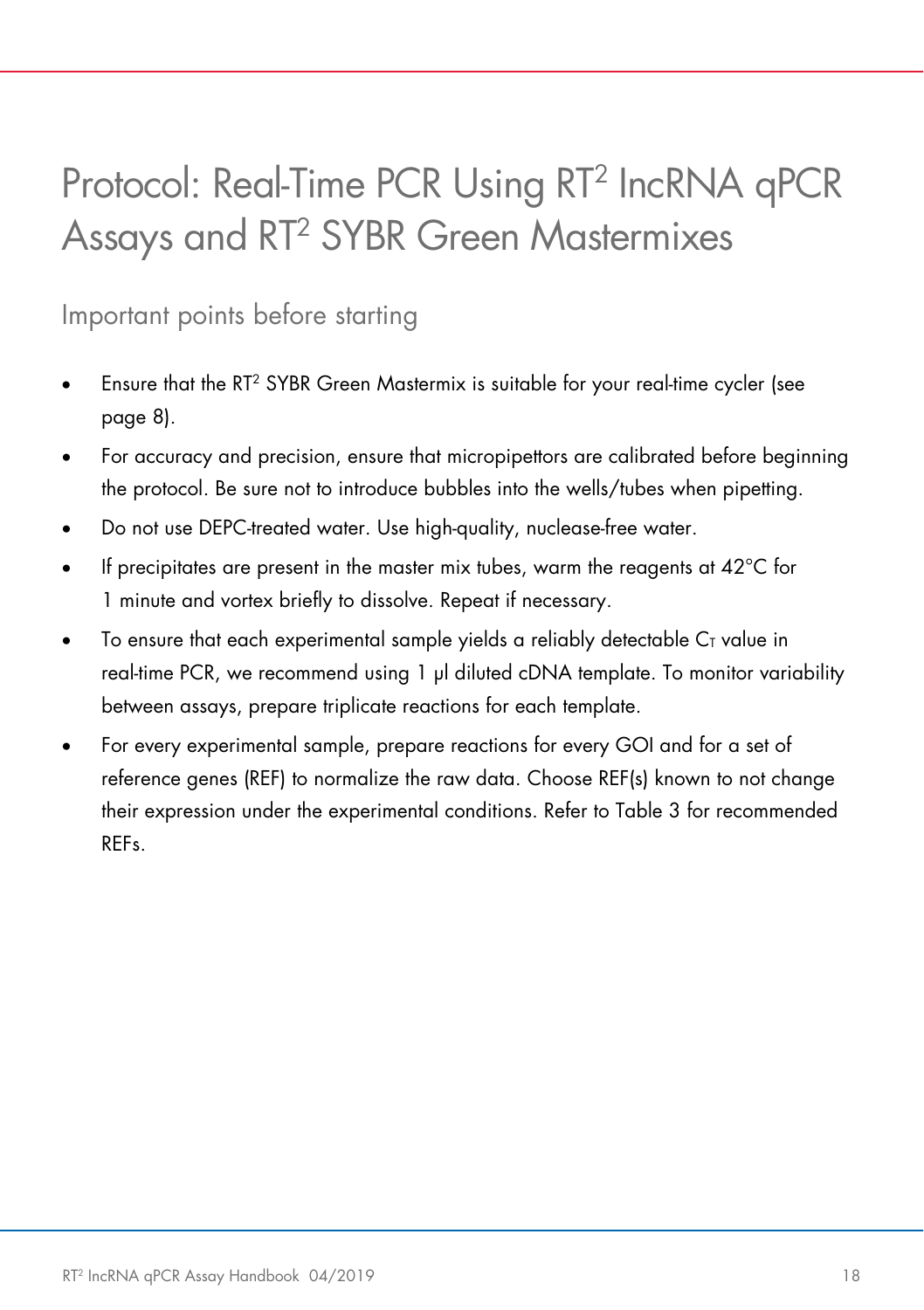# <span id="page-17-0"></span>Protocol: Real-Time PCR Using RT2 IncRNA qPCR Assays and RT2 SYBR Green Mastermixes

<span id="page-17-1"></span>Important points before starting

- Ensure that the RT<sup>2</sup> SYBR Green Mastermix is suitable for your real-time cycler (see [page](#page-7-1) 8).
- For accuracy and precision, ensure that micropipettors are calibrated before beginning the protocol. Be sure not to introduce bubbles into the wells/tubes when pipetting.
- Do not use DEPC-treated water. Use high-quality, nuclease-free water.
- If precipitates are present in the master mix tubes, warm the reagents at  $42^{\circ}$ C for 1 minute and vortex briefly to dissolve. Repeat if necessary.
- To ensure that each experimental sample yields a reliably detectable  $C<sub>I</sub>$  value in real-time PCR, we recommend using 1 µl diluted cDNA template. To monitor variability between assays, prepare triplicate reactions for each template.
- For every experimental sample, prepare reactions for every GOI and for a set of reference genes (REF) to normalize the raw data. Choose REF(s) known to not change their expression under the experimental conditions. Refer to [Table 3](#page-18-0) for recommended REFs.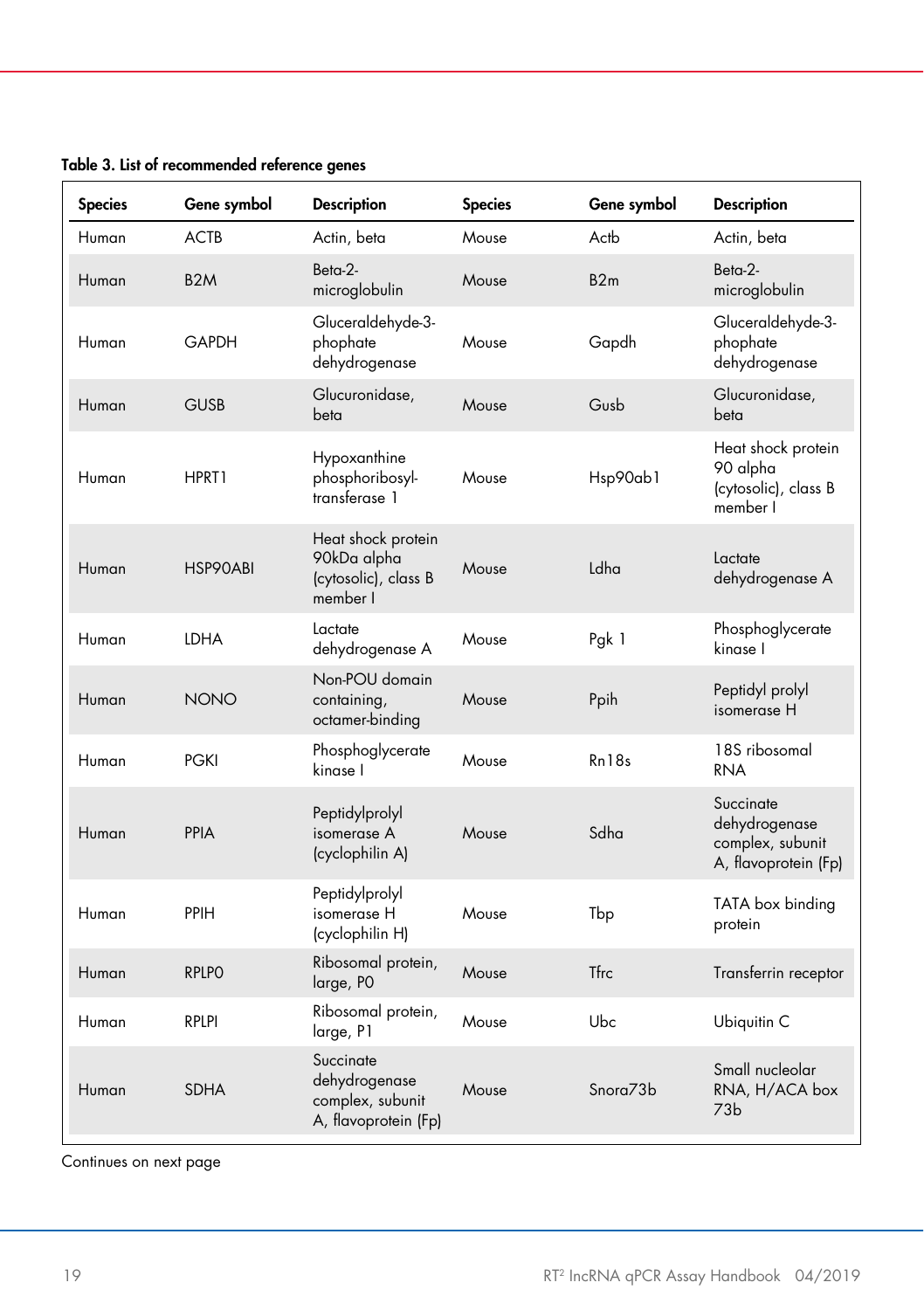| <b>Species</b> | Gene symbol      | <b>Description</b>                                                     | <b>Species</b> | Gene symbol                      | <b>Description</b>                                                     |
|----------------|------------------|------------------------------------------------------------------------|----------------|----------------------------------|------------------------------------------------------------------------|
| Human          | ACTB             | Actin, beta                                                            | Mouse          | Actb                             | Actin, beta                                                            |
| Human          | B <sub>2</sub> M | $Beta-2-$<br>microglobulin                                             | Mouse          | B2m                              | $Beta-2-$<br>microglobulin                                             |
| Human          | <b>GAPDH</b>     | Gluceraldehyde-3-<br>phophate<br>dehydrogenase                         | Mouse          | Gapdh                            | Gluceraldehyde-3-<br>phophate<br>dehydrogenase                         |
| Human          | <b>GUSB</b>      | Glucuronidase,<br>beta                                                 | Mouse          | Gusb                             | Glucuronidase,<br>beta                                                 |
| Human          | HPRT1            | Hypoxanthine<br>phosphoribosyl-<br>transferase 1                       | Mouse          | Hsp90ab1                         | Heat shock protein<br>90 alpha<br>(cytosolic), class B<br>member I     |
| Human          | HSP90ABI         | Heat shock protein<br>90kDa alpha<br>(cytosolic), class B<br>member I  | Mouse          | Ldha                             | Lactate<br>dehydrogenase A                                             |
| Human          | <b>LDHA</b>      | Lactate<br>dehydrogenase A                                             | Mouse          | Pgk 1                            | Phosphoglycerate<br>kinase I                                           |
| Human          | <b>NONO</b>      | Non-POU domain<br>containing,<br>octamer-binding                       | Mouse          | Ppih                             | Peptidyl prolyl<br>isomerase H                                         |
| Human          | <b>PGKI</b>      | Phosphoglycerate<br>kinase I                                           | Mouse          | Rn18s                            | 18S ribosomal<br><b>RNA</b>                                            |
| Human          | PPIA             | Peptidylprolyl<br>isomerase A<br>(cyclophilin A)                       | Mouse          | Sdha                             | Succinate<br>dehydrogenase<br>complex, subunit<br>A, flavoprotein (Fp) |
| Human          | PPIH             | Peptidylprolyl<br>isomerase H<br>(cyclophilin H)                       | Mouse          | Tbp                              | TATA box binding<br>protein                                            |
| Human          | <b>RPLPO</b>     | Ribosomal protein,<br>large, PO                                        | Mouse          | <b>Tfrc</b>                      | Transferrin receptor                                                   |
| Human          | <b>RPLPI</b>     | Ribosomal protein,<br>large, P1                                        | Mouse          | Ubc                              | Ubiquitin C                                                            |
| Human          | <b>SDHA</b>      | Succinate<br>dehydrogenase<br>complex, subunit<br>A, flavoprotein (Fp) | Mouse          | S <sub>nor</sub> 73 <sub>b</sub> | Small nucleolar<br>RNA, H/ACA box<br>73 <sub>b</sub>                   |

<span id="page-18-0"></span>Table 3. List of recommended reference genes

Continues on next page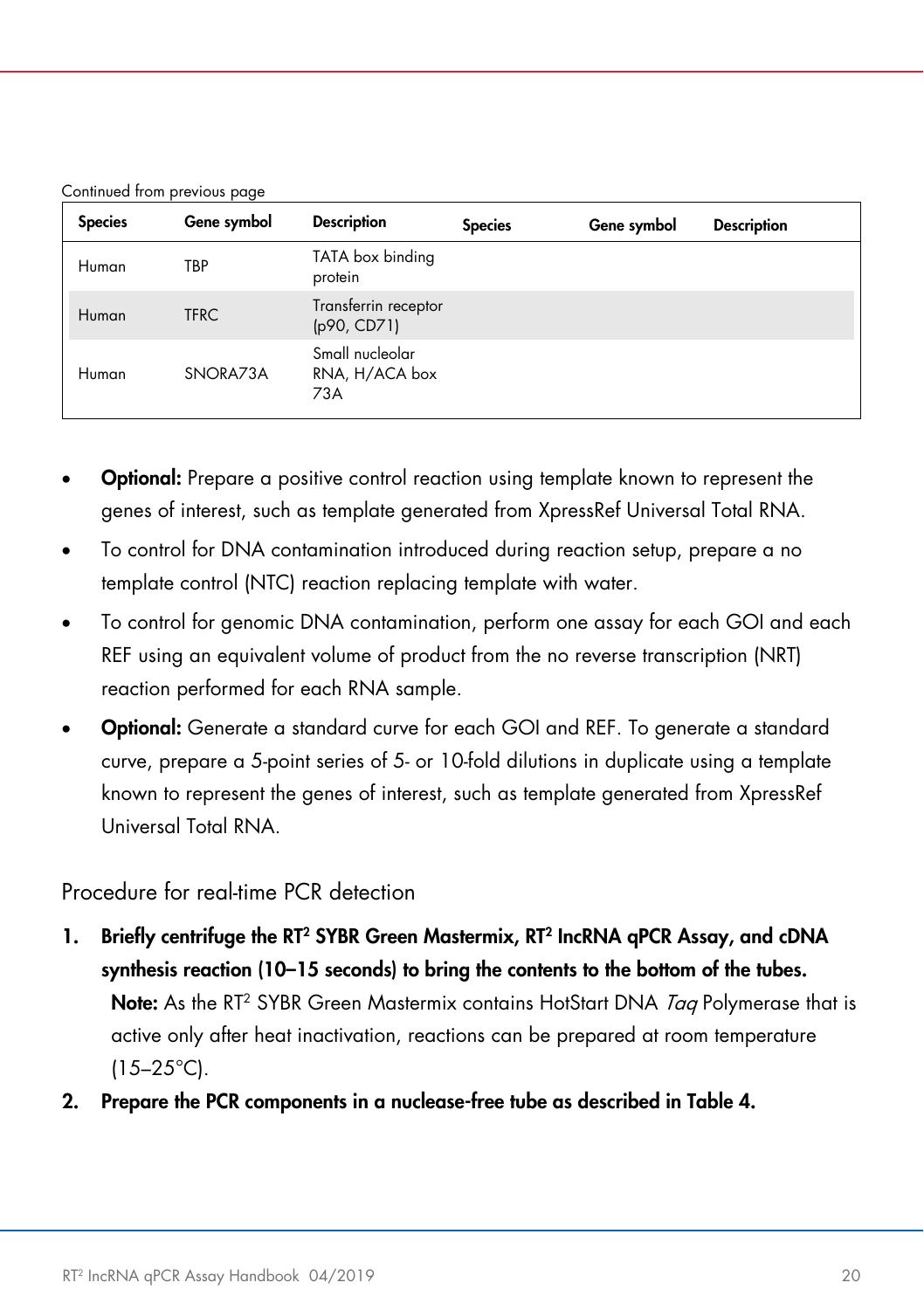| Continued from previous page |  |  |
|------------------------------|--|--|
|                              |  |  |

| <b>Species</b> | Gene symbol | <b>Description</b>                       | <b>Species</b> | Gene symbol | <b>Description</b> |
|----------------|-------------|------------------------------------------|----------------|-------------|--------------------|
| Human          | TBP         | TATA box binding<br>protein              |                |             |                    |
| Human          | <b>TFRC</b> | Transferrin receptor<br>(p90, CD71)      |                |             |                    |
| Human          | SNORA73A    | Small nucleolar<br>RNA, H/ACA box<br>73A |                |             |                    |

- **Optional:** Prepare a positive control reaction using template known to represent the genes of interest, such as template generated from XpressRef Universal Total RNA.
- To control for DNA contamination introduced during reaction setup, prepare a no template control (NTC) reaction replacing template with water.
- To control for genomic DNA contamination, perform one assay for each GOI and each REF using an equivalent volume of product from the no reverse transcription (NRT) reaction performed for each RNA sample.
- **Optional:** Generate a standard curve for each GOI and REF. To generate a standard curve, prepare a 5-point series of 5- or 10-fold dilutions in duplicate using a template known to represent the genes of interest, such as template generated from XpressRef Universal Total RNA.

#### Procedure for real-time PCR detection

- 1. Briefly centrifuge the RT<sup>2</sup> SYBR Green Mastermix, RT<sup>2</sup> IncRNA qPCR Assay, and cDNA synthesis reaction (10–15 seconds) to bring the contents to the bottom of the tubes. Note: As the RT<sup>2</sup> SYBR Green Mastermix contains HotStart DNA Tag Polymerase that is active only after heat inactivation, reactions can be prepared at room temperature  $(15-25^{\circ}C)$ .
- 2. Prepare the PCR components in a nuclease-free tube as described in [Table 4.](#page-20-0)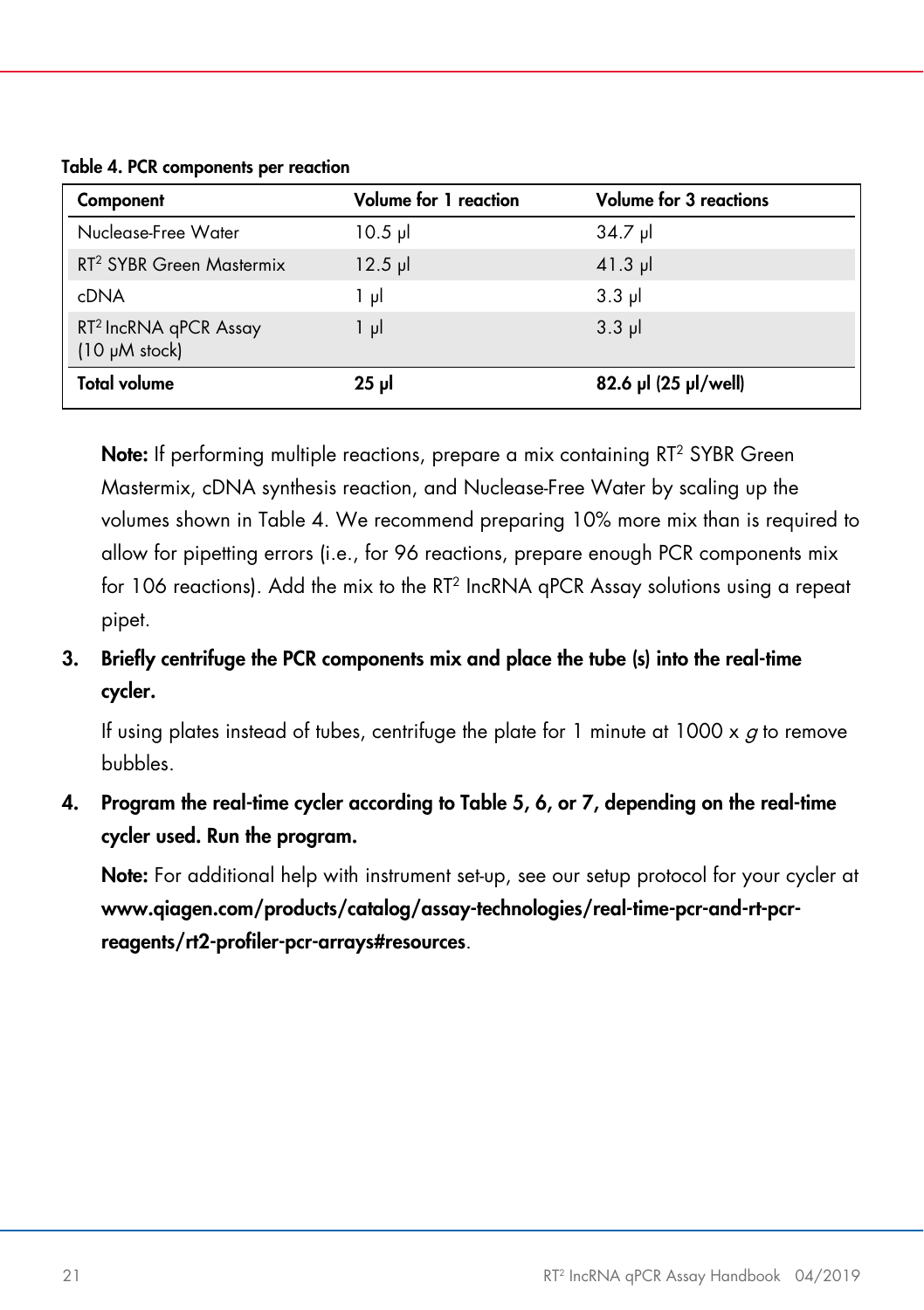<span id="page-20-0"></span>Table 4. PCR components per reaction

| Component                                               | <b>Volume for 1 reaction</b> | <b>Volume for 3 reactions</b> |
|---------------------------------------------------------|------------------------------|-------------------------------|
| Nuclease-Free Water                                     | $10.5$ pl                    | $34.7$ pl                     |
| RT <sup>2</sup> SYBR Green Mastermix                    | $12.5$ pl                    | $41.3$ pl                     |
| cDNA                                                    | 1 µl                         | $3.3$ pl                      |
| RT <sup>2</sup> IncRNA qPCR Assay<br>$(10 \mu M$ stock) | $1 \mu$                      | $3.3$ pl                      |
| <b>Total volume</b>                                     | $25$ µ                       | 82.6 µl (25 µl/well)          |

Note: If performing multiple reactions, prepare a mix containing RT<sup>2</sup> SYBR Green Mastermix, cDNA synthesis reaction, and Nuclease-Free Water by scaling up the volumes shown in [Table 4.](#page-20-0) We recommend preparing 10% more mix than is required to allow for pipetting errors (i.e., for 96 reactions, prepare enough PCR components mix for 106 reactions). Add the mix to the RT2 IncRNA qPCR Assay solutions using a repeat pipet.

3. Briefly centrifuge the PCR components mix and place the tube (s) into the real-time cycler.

If using plates instead of tubes, centrifuge the plate for 1 minute at  $1000 \times a$  to remove bubbles.

4. Program the real-time cycler according to Table 5, 6, or 7, depending on the real-time cycler used. Run the program.

Note: For additional help with instrument set-up, see our setup protocol for your cycler at [www.qiagen.com/products/catalog/assay-technologies/real-time-pcr-and-rt-pcr](http://www.qiagen.com/products/catalog/assay-technologies/real-time-pcr-and-rt-pcr-reagents/rt2-profiler-pcr-arrays#resources)[reagents/rt2-profiler-pcr-arrays#resources](http://www.qiagen.com/products/catalog/assay-technologies/real-time-pcr-and-rt-pcr-reagents/rt2-profiler-pcr-arrays#resources).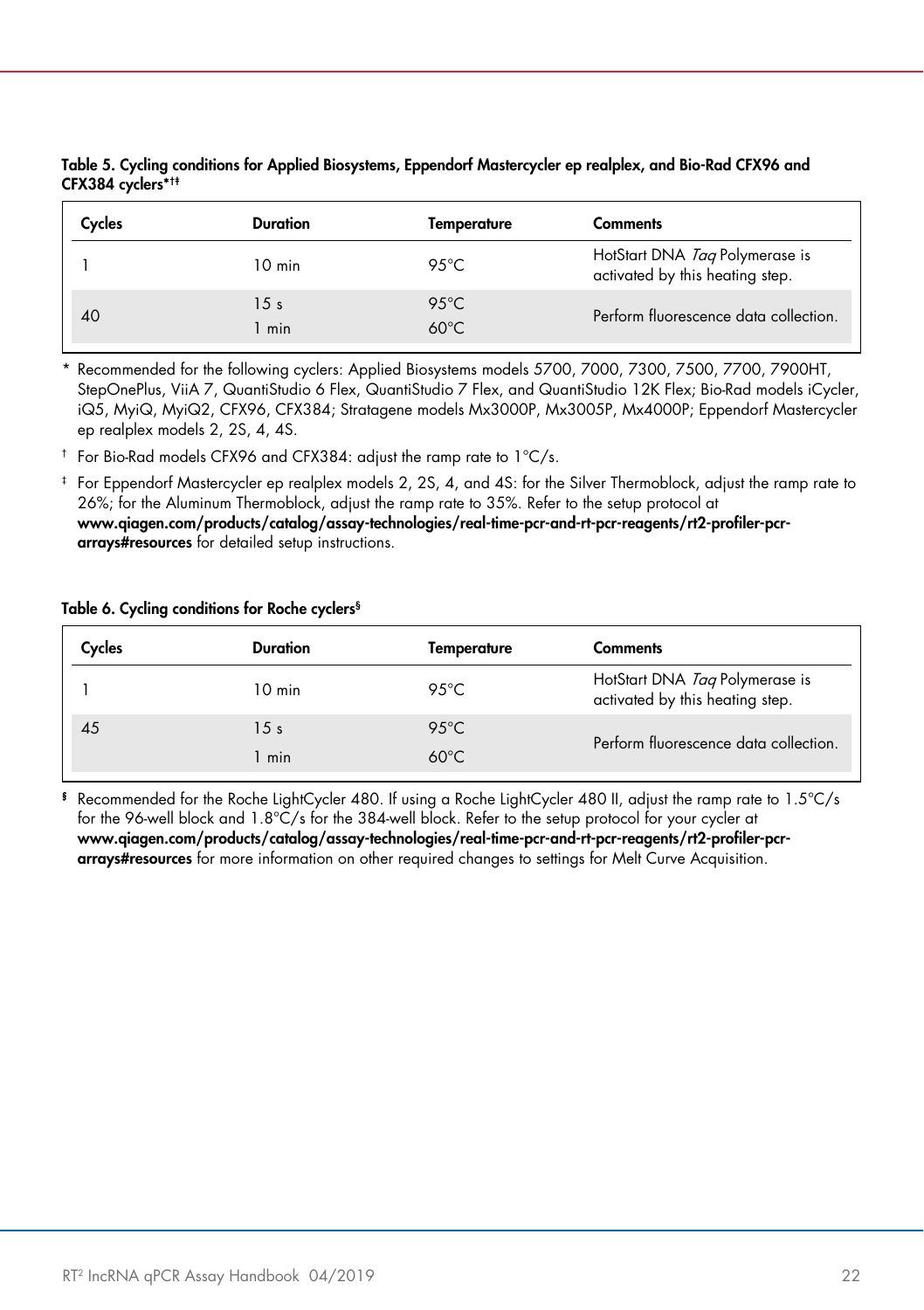| Table 5. Cycling conditions for Applied Biosystems, Eppendorf Mastercycler ep realplex, and Bio-Rad CFX96 and |  |
|---------------------------------------------------------------------------------------------------------------|--|
| CFX384 cyclers* <sup>†</sup>                                                                                  |  |

| Cycles | Duration               | Temperature                      | <b>Comments</b>                                                   |
|--------|------------------------|----------------------------------|-------------------------------------------------------------------|
|        | $10 \text{ min}$       | 95 $°C$                          | HotStart DNA Tag Polymerase is<br>activated by this heating step. |
| 40     | 15 <sub>s</sub><br>min | $95^{\circ}$ C<br>$60^{\circ}$ C | Perform fluorescence data collection.                             |

\* Recommended for the following cyclers: Applied Biosystems models 5700, 7000, 7300, 7500, 7700, 7900HT, StepOnePlus, ViiA 7, QuantiStudio 6 Flex, QuantiStudio 7 Flex, and QuantiStudio 12K Flex; Bio-Rad models iCycler, iQ5, MyiQ, MyiQ2, CFX96, CFX384; Stratagene models Mx3000P, Mx3005P, Mx4000P; Eppendorf Mastercycler ep realplex models 2, 2S, 4, 4S.

† For Bio-Rad models CFX96 and CFX384: adjust the ramp rate to 1°C/s.

‡ For Eppendorf Mastercycler ep realplex models 2, 2S, 4, and 4S: for the Silver Thermoblock, adjust the ramp rate to 26%; for the Aluminum Thermoblock, adjust the ramp rate to 35%. Refer to the setup protocol at [www.qiagen.com/products/catalog/assay-technologies/real-time-pcr-and-rt-pcr-reagents/rt2-profiler-pcr](http://www.qiagen.com/products/catalog/assay-technologies/real-time-pcr-and-rt-pcr-reagents/rt2-profiler-pcr-arrays#resources)[arrays#resources](http://www.qiagen.com/products/catalog/assay-technologies/real-time-pcr-and-rt-pcr-reagents/rt2-profiler-pcr-arrays#resources) for detailed setup instructions.

#### Table 6. Cycling conditions for Roche cyclers§

| Cycles | <b>Duration</b>  | Temperature    | <b>Comments</b>                                                   |
|--------|------------------|----------------|-------------------------------------------------------------------|
|        | $10 \text{ min}$ | 95 $°C$        | HotStart DNA Tag Polymerase is<br>activated by this heating step. |
| 45     | 15s              | $95^{\circ}$ C | Perform fluorescence data collection.                             |
|        | 1 min            | $60^{\circ}$ C |                                                                   |

§ Recommended for the Roche LightCycler 480. If using a Roche LightCycler 480 II, adjust the ramp rate to 1.5°C/s for the 96-well block and 1.8°C/s for the 384-well block. Refer to the setup protocol for your cycler at [www.qiagen.com/products/catalog/assay-technologies/real-time-pcr-and-rt-pcr-reagents/rt2-profiler-pcr](https://www.qiagen.com/au/shop/pcr/primer-sets/rt2-profiler-pcr-arrays/?akamai-feo=off&clear=true#resources)[arrays#resources](https://www.qiagen.com/au/shop/pcr/primer-sets/rt2-profiler-pcr-arrays/?akamai-feo=off&clear=true#resources) for more information on other required changes to settings for Melt Curve Acquisition.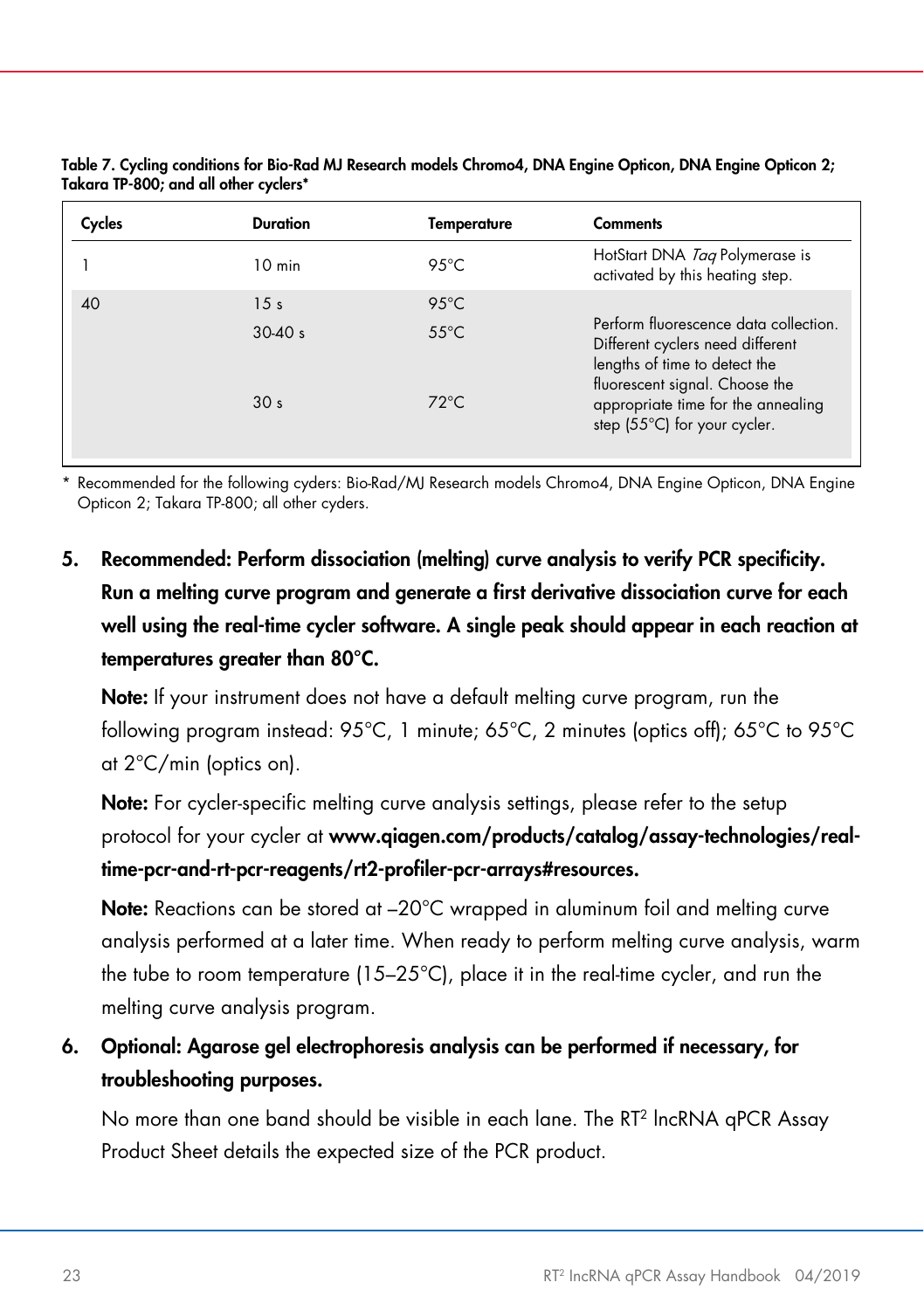| Cycles | Duration         | Temperature    | <b>Comments</b>                                                                                                                              |
|--------|------------------|----------------|----------------------------------------------------------------------------------------------------------------------------------------------|
|        | $10 \text{ min}$ | $95^{\circ}$ C | HotStart DNA Tag Polymerase is<br>activated by this heating step.                                                                            |
| 40     | 15 <sub>s</sub>  | $95^{\circ}$ C |                                                                                                                                              |
|        | $30-40 s$        | $55^{\circ}$ C | Perform fluorescence data collection.<br>Different cyclers need different<br>lengths of time to detect the<br>fluorescent signal. Choose the |
|        | 30 <sub>s</sub>  | $72^{\circ}$ C | appropriate time for the annealing<br>step (55°C) for your cycler.                                                                           |

Table 7. Cycling conditions for Bio-Rad MJ Research models Chromo4, DNA Engine Opticon, DNA Engine Opticon 2; Takara TP-800; and all other cyclers\*

\* Recommended for the following cyders: Bio-Rad/MJ Research models Chromo4, DNA Engine Opticon, DNA Engine Opticon 2; Takara TP-800; all other cyders.

5. Recommended: Perform dissociation (melting) curve analysis to verify PCR specificity. Run a melting curve program and generate a first derivative dissociation curve for each well using the real-time cycler software. A single peak should appear in each reaction at temperatures greater than 80°C.

Note: If your instrument does not have a default melting curve program, run the following program instead: 95°C, 1 minute; 65°C, 2 minutes (optics off); 65°C to 95°C at 2°C/min (optics on).

Note: For cycler-specific melting curve analysis settings, please refer to the setup protocol for your cycler at [www.qiagen.com/products/catalog/assay-technologies/real](http://www.qiagen.com/products/catalog/assay-technologies/real-time-pcr-and-rt-pcr-reagents/rt2-profiler-pcr-arrays#resources)[time-pcr-and-rt-pcr-reagents/rt2-profiler-pcr-arrays#resources.](http://www.qiagen.com/products/catalog/assay-technologies/real-time-pcr-and-rt-pcr-reagents/rt2-profiler-pcr-arrays#resources)

Note: Reactions can be stored at -20°C wrapped in aluminum foil and melting curve analysis performed at a later time. When ready to perform melting curve analysis, warm the tube to room temperature (15–25°C), place it in the real-time cycler, and run the melting curve analysis program.

6. Optional: Agarose gel electrophoresis analysis can be performed if necessary, for troubleshooting purposes.

No more than one band should be visible in each lane. The RT2 lncRNA qPCR Assay Product Sheet details the expected size of the PCR product.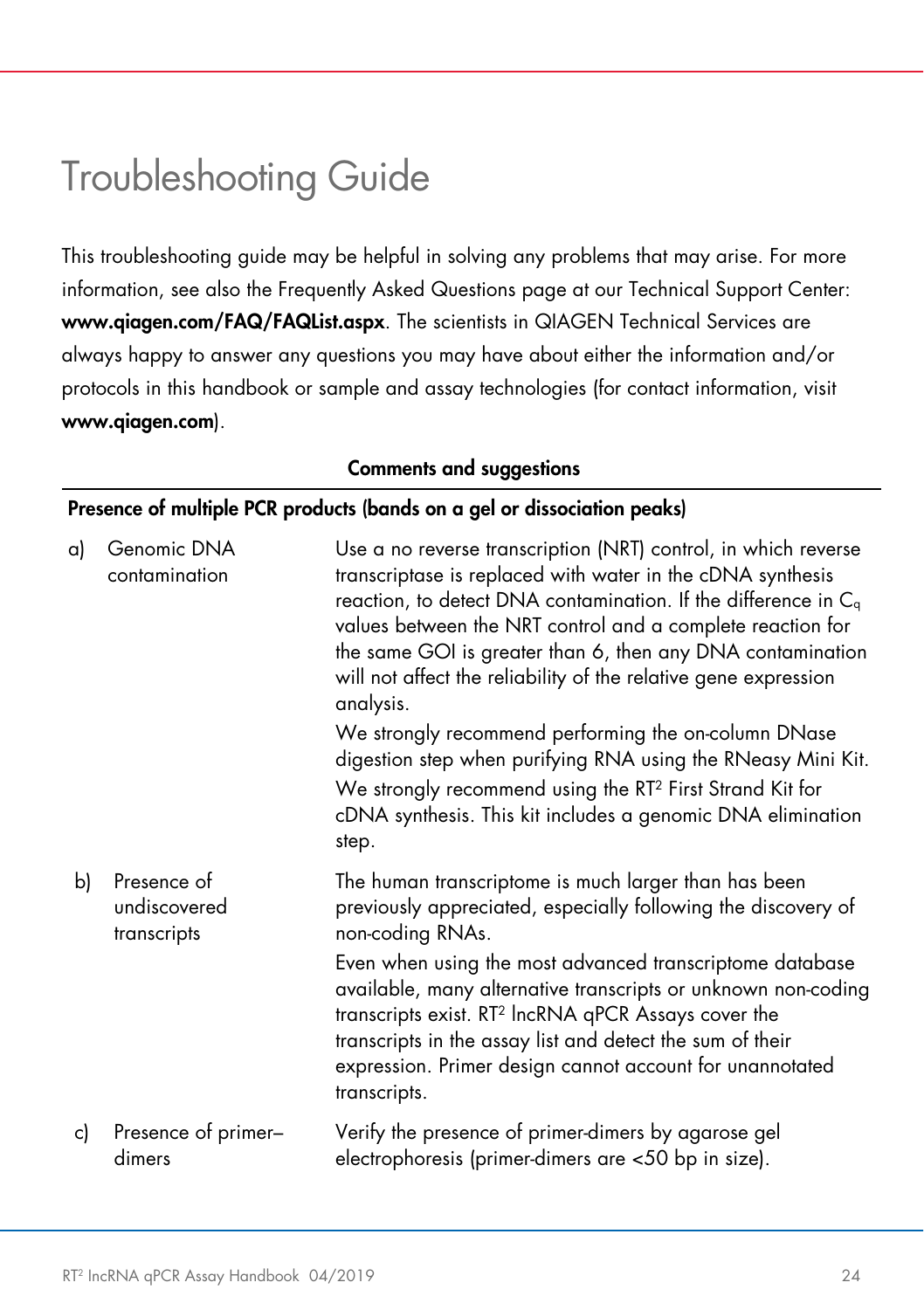# <span id="page-23-0"></span>Troubleshooting Guide

This troubleshooting guide may be helpful in solving any problems that may arise. For more information, see also the Frequently Asked Questions page at our Technical Support Center: [www.qiagen.com/FAQ/FAQList.aspx](https://www.qiagen.com/us/support/faqs/?akamai-feo=off). The scientists in QIAGEN Technical Services are always happy to answer any questions you may have about either the information and/or protocols in this handbook or sample and assay technologies (for contact information, visit [www.qiagen.com](https://www.qiagen.com/)).

#### Presence of multiple PCR products (bands on a gel or dissociation peaks) a) Genomic DNA contamination Use a no reverse transcription (NRT) control, in which reverse transcriptase is replaced with water in the cDNA synthesis reaction, to detect DNA contamination. If the difference in  $C_{q}$ values between the NRT control and a complete reaction for the same GOI is greater than 6, then any DNA contamination will not affect the reliability of the relative gene expression analysis. We strongly recommend performing the on-column DNase digestion step when purifying RNA using the RNeasy Mini Kit. We strongly recommend using the RT<sup>2</sup> First Strand Kit for cDNA synthesis. This kit includes a genomic DNA elimination step. b) Presence of undiscovered transcripts The human transcriptome is much larger than has been previously appreciated, especially following the discovery of non-coding RNAs. Even when using the most advanced transcriptome database available, many alternative transcripts or unknown non-coding transcripts exist. RT2 lncRNA qPCR Assays cover the transcripts in the assay list and detect the sum of their expression. Primer design cannot account for unannotated transcripts. c) Presence of primer– dimers Verify the presence of primer-dimers by agarose gel electrophoresis (primer-dimers are <50 bp in size).

#### Comments and suggestions

### RT<sup>2</sup> IncRNA qPCR Assay Handbook 04/2019 24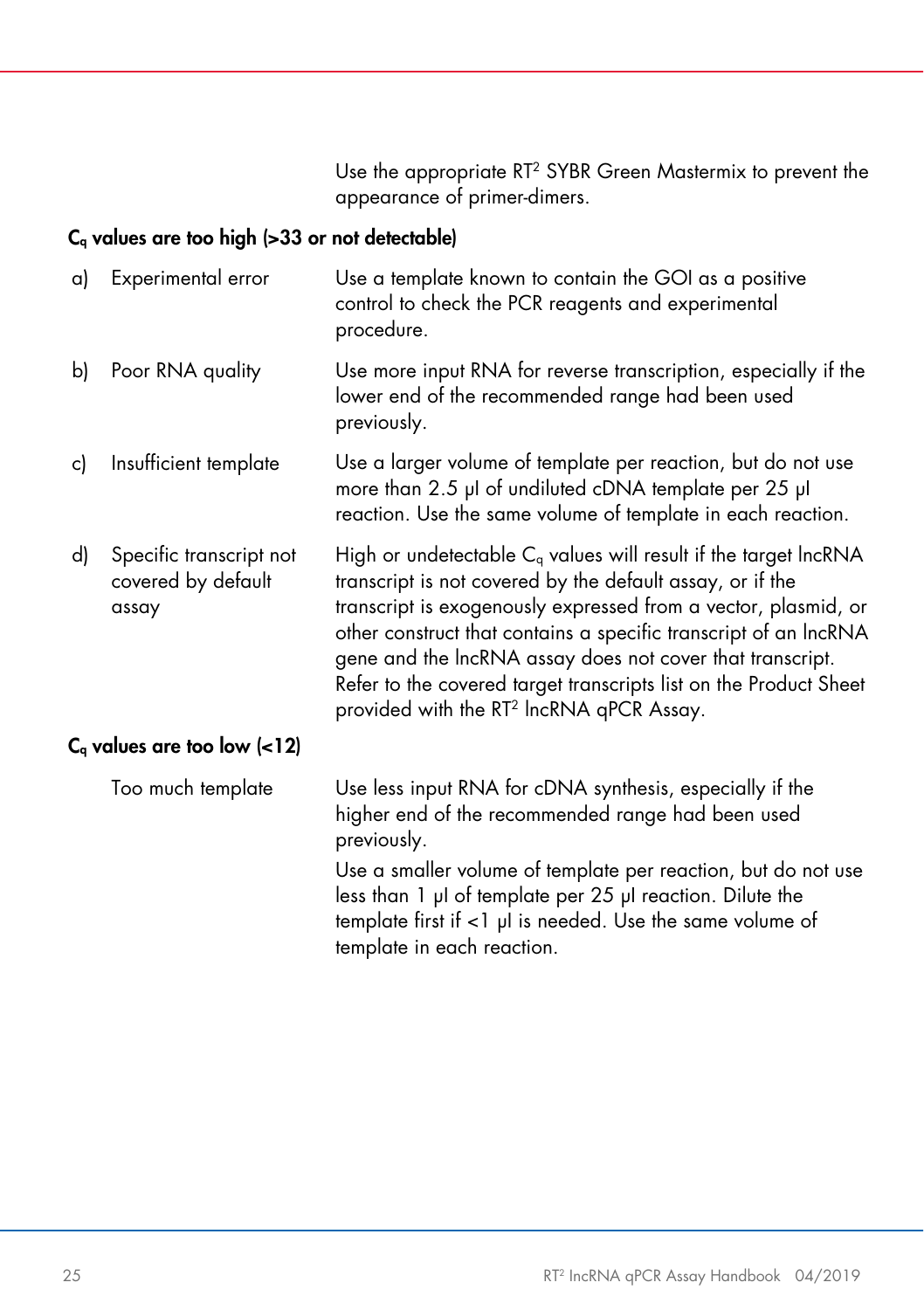Use the appropriate RT2 SYBR Green Mastermix to prevent the appearance of primer-dimers.

#### $C_q$  values are too high (>33 or not detectable)

| a) | Experimental error                                     | Use a template known to contain the GOI as a positive<br>control to check the PCR reagents and experimental<br>procedure.                                                                                                                                                                                                                                                                                                                                       |
|----|--------------------------------------------------------|-----------------------------------------------------------------------------------------------------------------------------------------------------------------------------------------------------------------------------------------------------------------------------------------------------------------------------------------------------------------------------------------------------------------------------------------------------------------|
| b) | Poor RNA quality                                       | Use more input RNA for reverse transcription, especially if the<br>lower end of the recommended range had been used<br>previously.                                                                                                                                                                                                                                                                                                                              |
| c) | Insufficient template                                  | Use a larger volume of template per reaction, but do not use<br>more than 2.5 µl of undiluted cDNA template per 25 µl<br>reaction. Use the same volume of template in each reaction.                                                                                                                                                                                                                                                                            |
| d) | Specific transcript not<br>covered by default<br>assay | High or undetectable $C_q$ values will result if the target lncRNA<br>transcript is not covered by the default assay, or if the<br>transcript is exogenously expressed from a vector, plasmid, or<br>other construct that contains a specific transcript of an IncRNA<br>gene and the IncRNA assay does not cover that transcript.<br>Refer to the covered target transcripts list on the Product Sheet<br>provided with the RT <sup>2</sup> IncRNA qPCR Assay. |
|    | $C_q$ values are too low $(<12)$                       |                                                                                                                                                                                                                                                                                                                                                                                                                                                                 |
|    | Too much template                                      | Use less input RNA for cDNA synthesis, especially if the<br>higher end of the recommended range had been used<br>previously.                                                                                                                                                                                                                                                                                                                                    |
|    |                                                        | Use a smaller volume of template per reaction, but do not use<br>less than 1 µl of template per 25 µl reaction. Dilute the<br>template first if $<$ 1 $\mu$ l is needed. Use the same volume of<br>template in each reaction.                                                                                                                                                                                                                                   |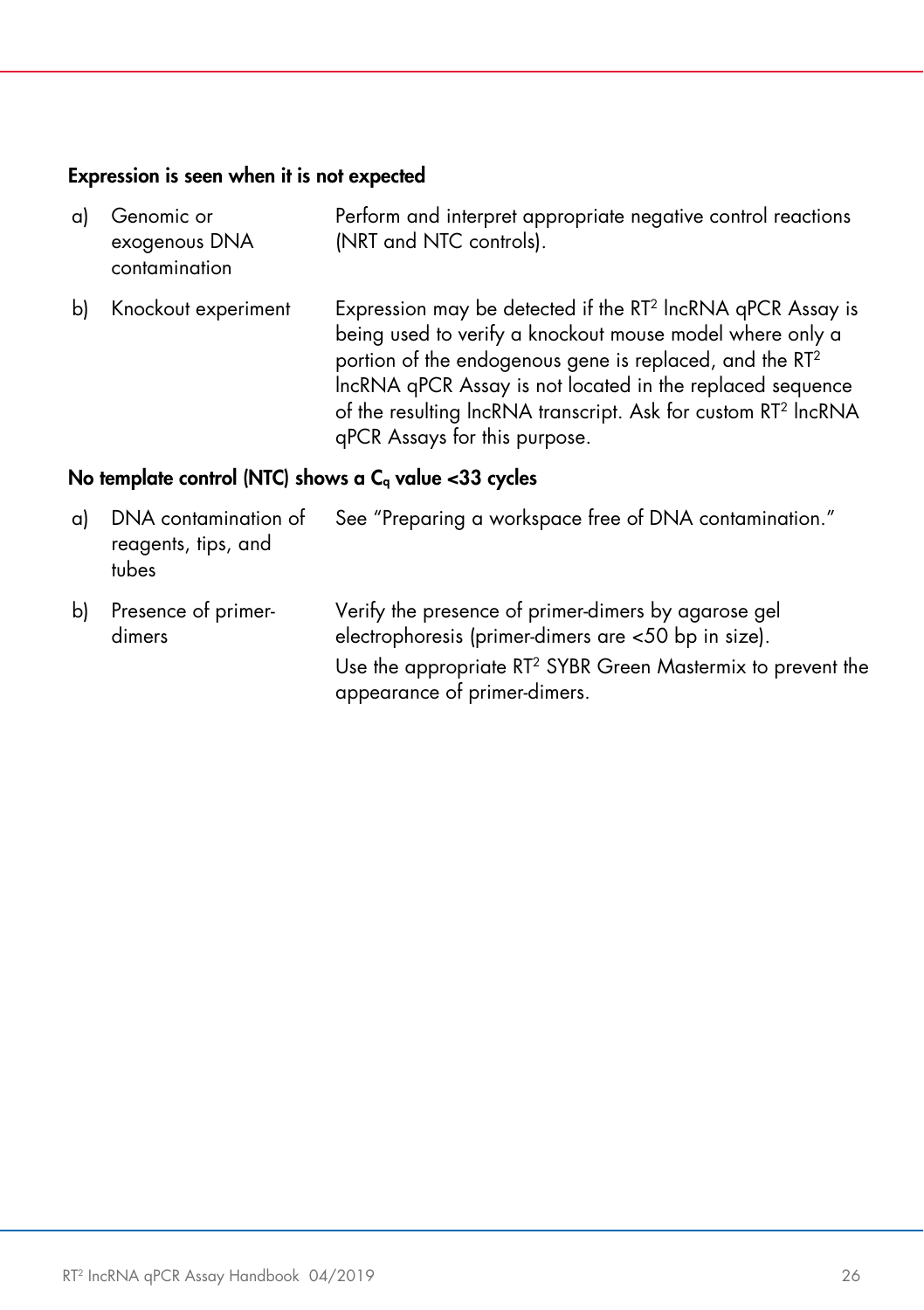#### Expression is seen when it is not expected

- a) Genomic or exogenous DNA contamination Perform and interpret appropriate negative control reactions (NRT and NTC controls). b) Knockout experiment Expression may be detected if the RT<sup>2</sup> lncRNA qPCR Assay is
	- being used to verify a knockout mouse model where only a portion of the endogenous gene is replaced, and the RT2 lncRNA qPCR Assay is not located in the replaced sequence of the resulting lncRNA transcript. Ask for custom RT2 lncRNA qPCR Assays for this purpose.

#### No template control (NTC) shows a  $C<sub>a</sub>$  value <33 cycles

a) DNA contamination of reagents, tips, and tubes See "Preparing a workspace free of DNA contamination." b) Presence of primerdimers Verify the presence of primer-dimers by agarose gel electrophoresis (primer-dimers are <50 bp in size). Use the appropriate RT2 SYBR Green Mastermix to prevent the appearance of primer-dimers.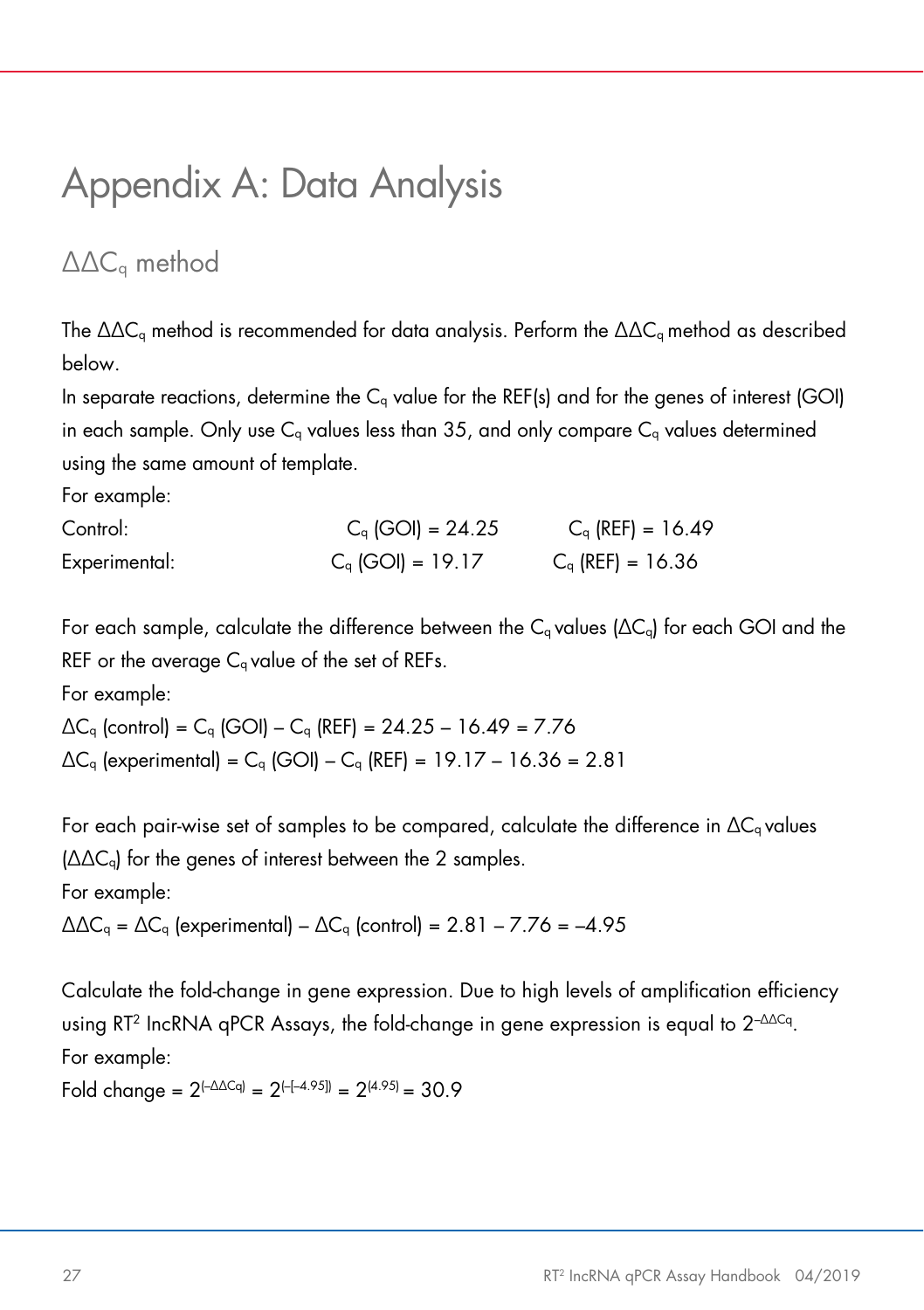# <span id="page-26-0"></span>Appendix A: Data Analysis

### <span id="page-26-1"></span>∆∆Cq method

The ∆∆C<sub>a</sub> method is recommended for data analysis. Perform the ∆∆C<sub>a</sub> method as described below.

In separate reactions, determine the  $C<sub>a</sub>$  value for the REF(s) and for the genes of interest (GOI) in each sample. Only use  $C_q$  values less than 35, and only compare  $C_q$  values determined using the same amount of template.

For example:

| Control:      | $C_q$ (GOI) = 24.25 | $C_q$ (REF) = 16.49 |
|---------------|---------------------|---------------------|
| Experimental: | $C_q$ (GOI) = 19.17 | $C_q$ (REF) = 16.36 |

For each sample, calculate the difference between the C<sub>q</sub> values ( $\Delta C_q$ ) for each GOI and the REF or the average  $C<sub>a</sub>$  value of the set of REFs.

For example:

 $\Delta C_q$  (control) =  $C_q$  (GOI) –  $C_q$  (REF) = 24.25 – 16.49 = 7.76  $\Delta C_q$  (experimental) =  $C_q$  (GOI) –  $C_q$  (REF) = 19.17 – 16.36 = 2.81

For each pair-wise set of samples to be compared, calculate the difference in  $\Delta C_q$  values (∆∆Cq) for the genes of interest between the 2 samples. For example:

 $\Delta\Delta C_q = \Delta C_q$  (experimental) –  $\Delta C_q$  (control) = 2.81 – 7.76 = –4.95

Calculate the fold-change in gene expression. Due to high levels of amplification efficiency using RT2 IncRNA qPCR Assays, the fold-change in gene expression is equal to 2–∆∆Cq. For example:

Fold change =  $2^{(-\Delta \Delta Cq)} = 2^{(-4.95)} = 2^{(4.95)} = 30.9$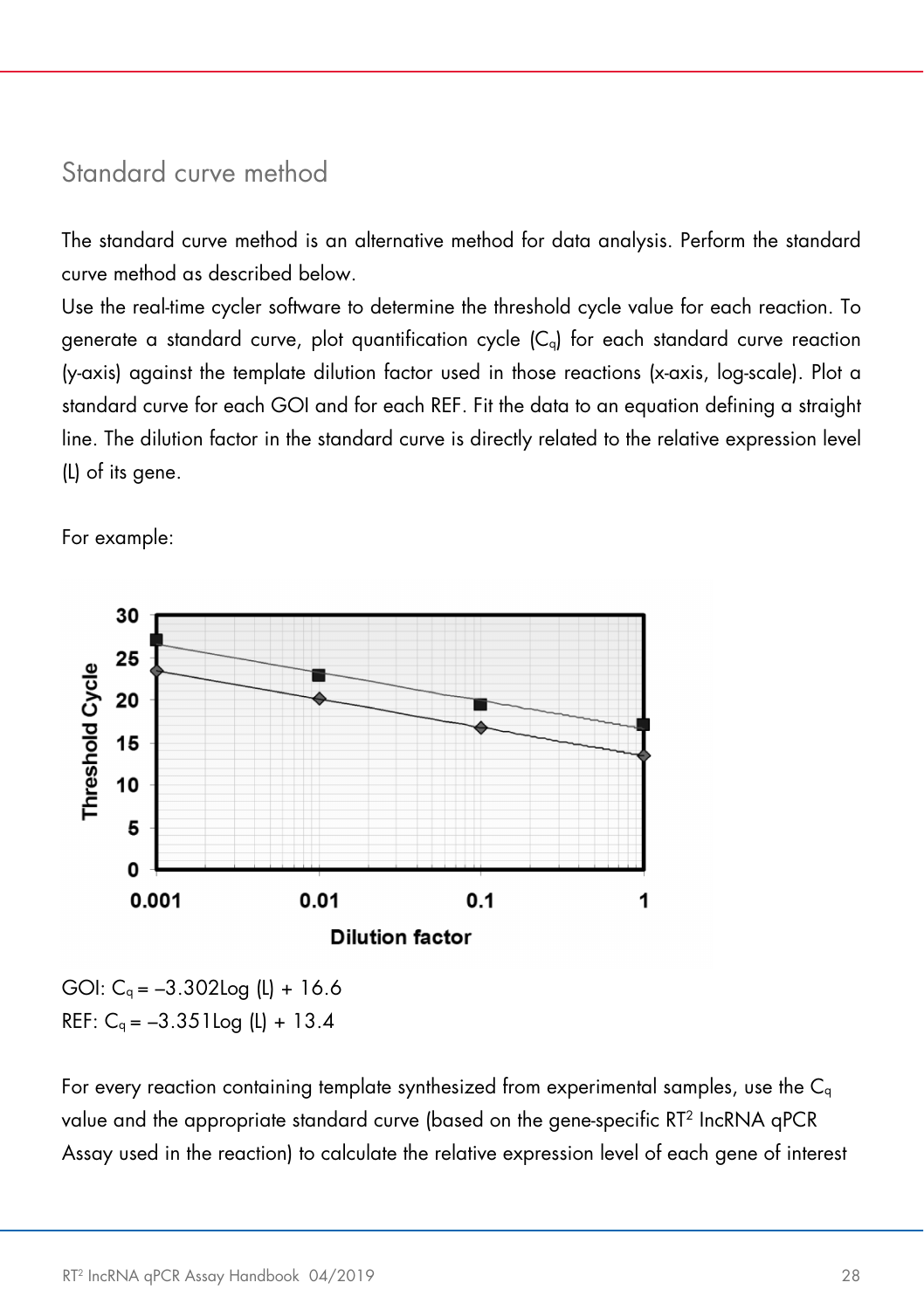### <span id="page-27-0"></span>Standard curve method

The standard curve method is an alternative method for data analysis. Perform the standard curve method as described below.

Use the real-time cycler software to determine the threshold cycle value for each reaction. To generate a standard curve, plot quantification cycle  $(C<sub>q</sub>)$  for each standard curve reaction (y-axis) against the template dilution factor used in those reactions (x-axis, log-scale). Plot a standard curve for each GOI and for each REF. Fit the data to an equation defining a straight line. The dilution factor in the standard curve is directly related to the relative expression level (L) of its gene.

For example:



GOI:  $C_q = -3.302 \log (L) + 16.6$ REF:  $C_q = -3.351 \log (L) + 13.4$ 

For every reaction containing template synthesized from experimental samples, use the  $C_{q}$ value and the appropriate standard curve (based on the gene-specific RT2 IncRNA qPCR Assay used in the reaction) to calculate the relative expression level of each gene of interest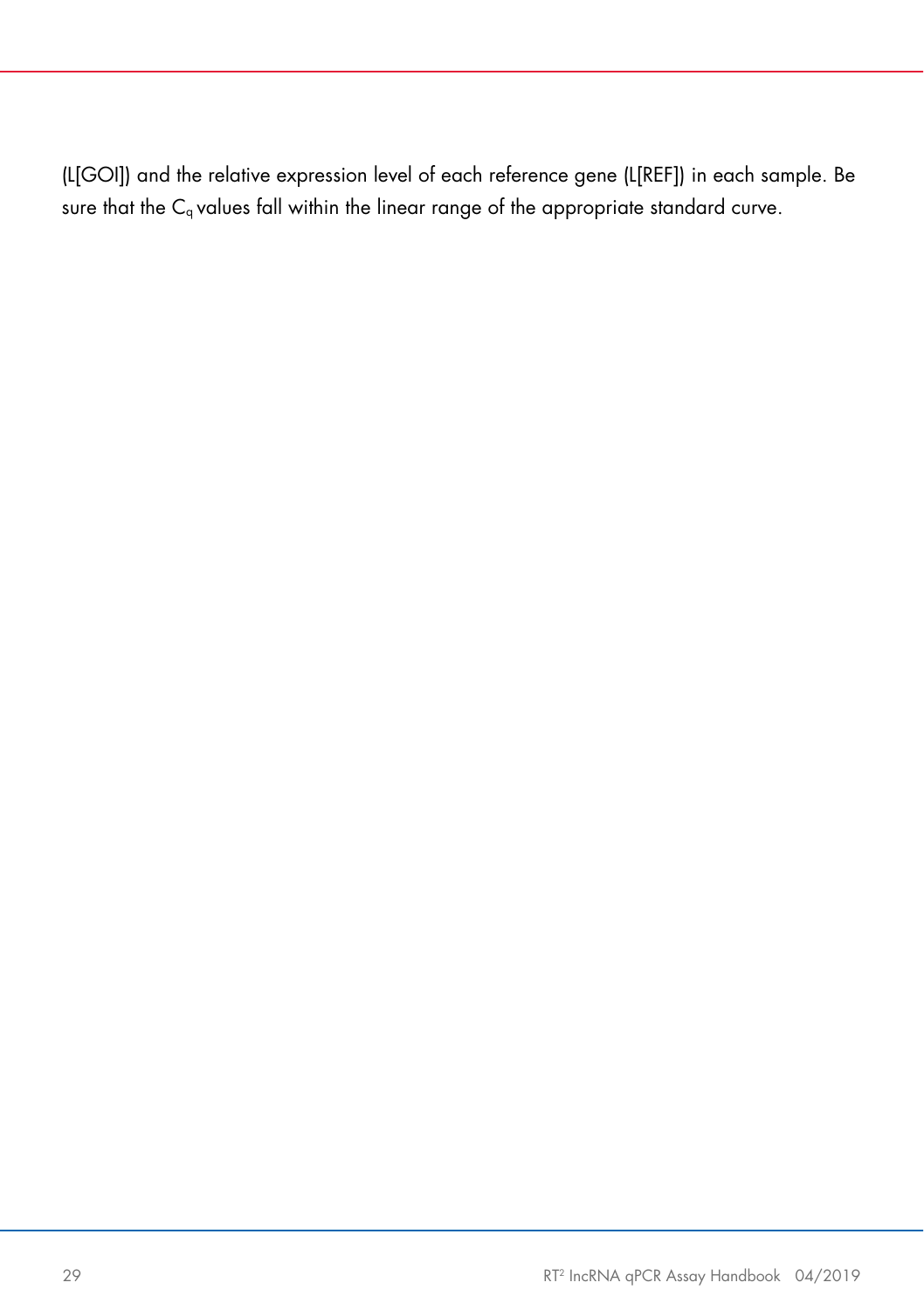(L[GOI]) and the relative expression level of each reference gene (L[REF]) in each sample. Be sure that the C<sub>q</sub> values fall within the linear range of the appropriate standard curve.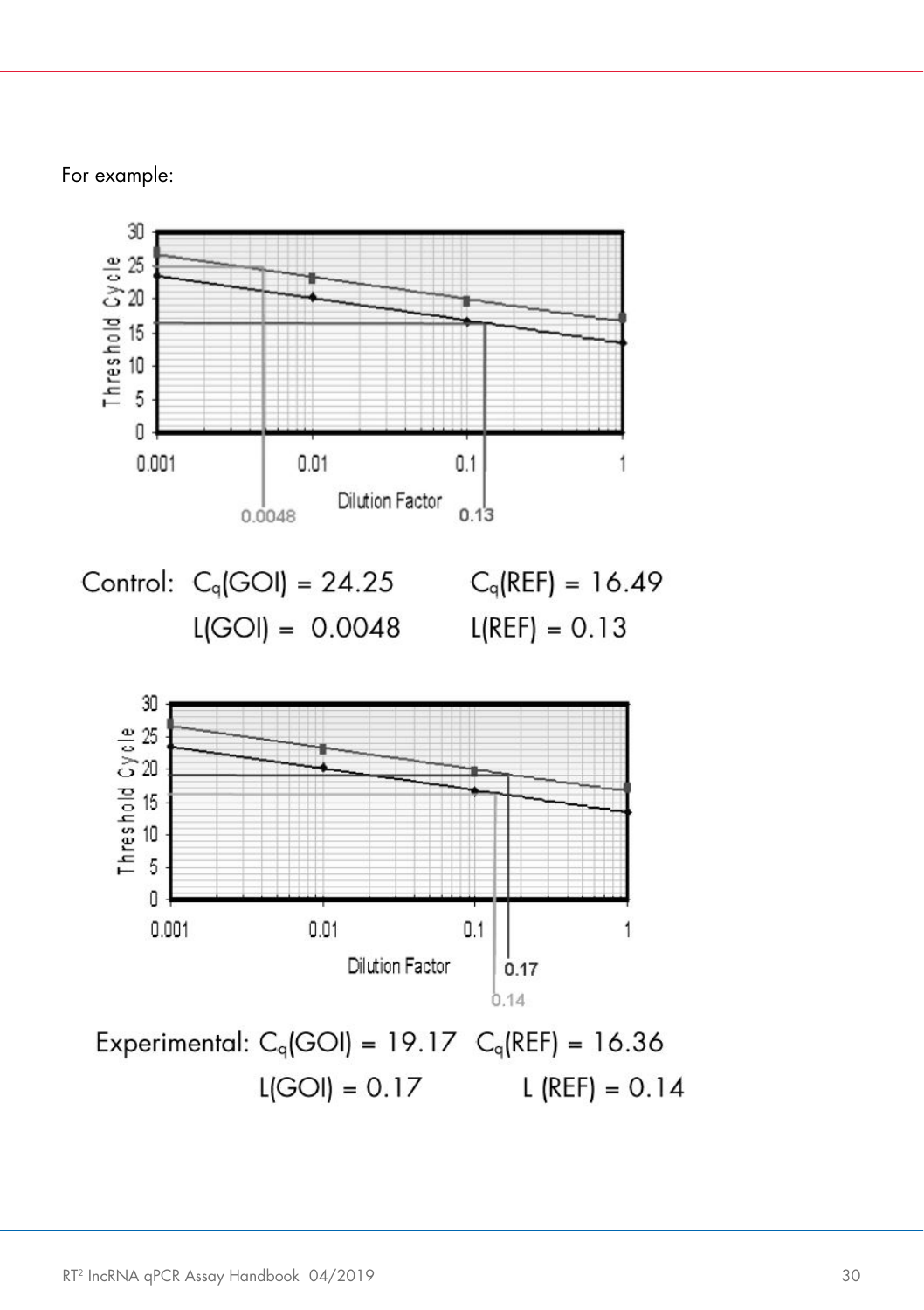For example:

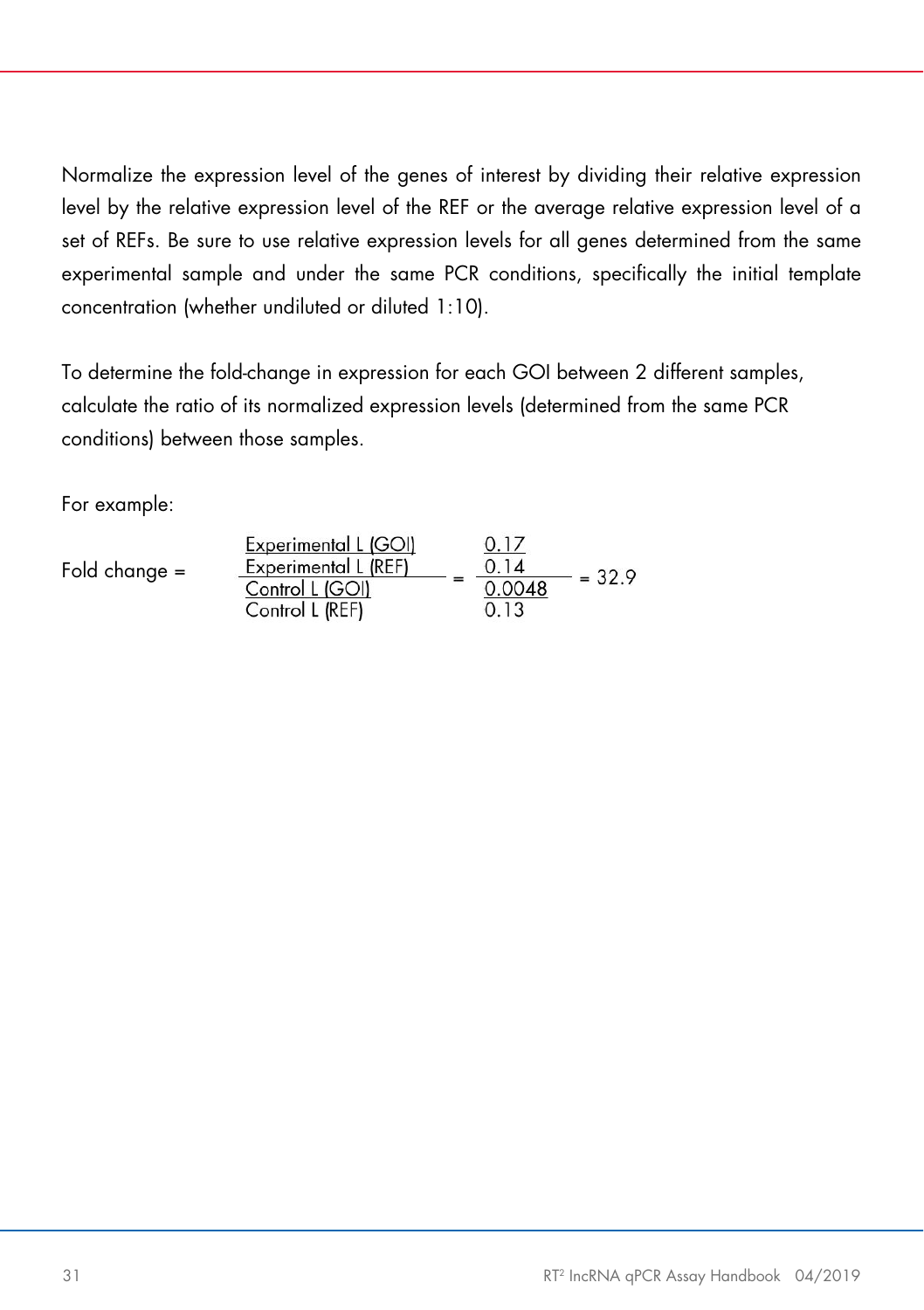Normalize the expression level of the genes of interest by dividing their relative expression level by the relative expression level of the REF or the average relative expression level of a set of REFs. Be sure to use relative expression levels for all genes determined from the same experimental sample and under the same PCR conditions, specifically the initial template concentration (whether undiluted or diluted 1:10).

To determine the fold-change in expression for each GOI between 2 different samples, calculate the ratio of its normalized expression levels (determined from the same PCR conditions) between those samples.

For example:

| Fold change $=$ | Experimental L (GOI)<br>Experimental L (REF)<br>Control L (GOI)<br>Control L (REF) |  | 0.17<br>0.14<br>0.0048<br>0.13 | $= 32.9$ |
|-----------------|------------------------------------------------------------------------------------|--|--------------------------------|----------|
|-----------------|------------------------------------------------------------------------------------|--|--------------------------------|----------|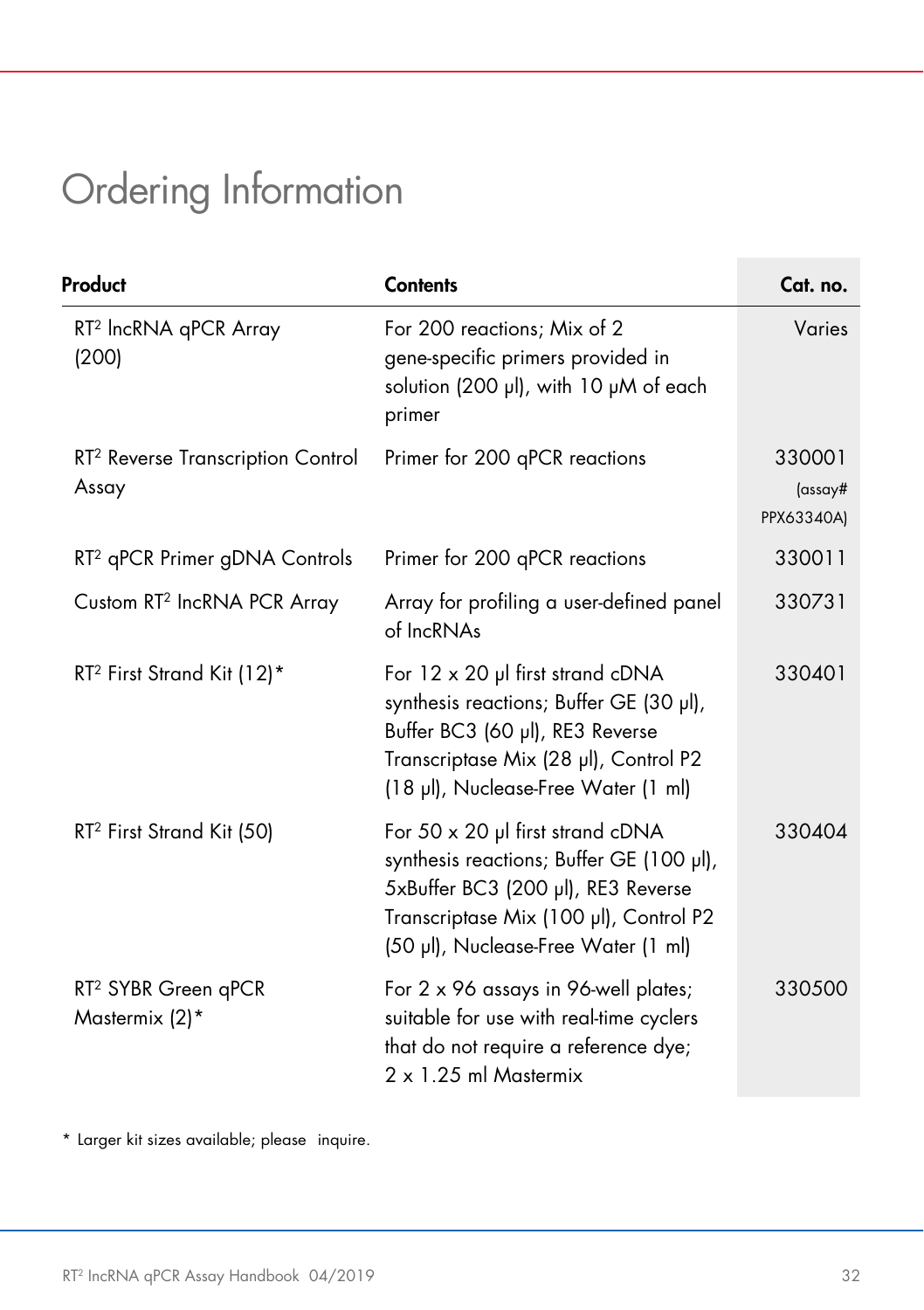# <span id="page-31-0"></span>Ordering Information

| Product                                                | <b>Contents</b>                                                                                                                                                                                            | Cat. no.                        |
|--------------------------------------------------------|------------------------------------------------------------------------------------------------------------------------------------------------------------------------------------------------------------|---------------------------------|
| RT <sup>2</sup> IncRNA qPCR Array<br>(200)             | For 200 reactions; Mix of 2<br>gene-specific primers provided in<br>solution (200 µl), with 10 µM of each<br>primer                                                                                        | Varies                          |
| RT <sup>2</sup> Reverse Transcription Control<br>Assay | Primer for 200 qPCR reactions                                                                                                                                                                              | 330001<br>(assay#<br>PPX63340A) |
| RT <sup>2</sup> qPCR Primer gDNA Controls              | Primer for 200 qPCR reactions                                                                                                                                                                              | 330011                          |
| Custom RT <sup>2</sup> IncRNA PCR Array                | Array for profiling a user-defined panel<br>of IncRNAs                                                                                                                                                     | 330731                          |
| RT <sup>2</sup> First Strand Kit (12)*                 | For $12 \times 20$ µl first strand cDNA<br>synthesis reactions; Buffer GE (30 µl),<br>Buffer BC3 (60 µl), RE3 Reverse<br>Transcriptase Mix (28 µl), Control P2<br>(18 µl), Nuclease-Free Water (1 ml)      | 330401                          |
| RT <sup>2</sup> First Strand Kit (50)                  | For $50 \times 20$ µl first strand cDNA<br>synthesis reactions; Buffer GE (100 µl),<br>5xBuffer BC3 (200 µl), RE3 Reverse<br>Transcriptase Mix (100 µl), Control P2<br>(50 µl), Nuclease-Free Water (1 ml) | 330404                          |
| RT <sup>2</sup> SYBR Green qPCR<br>Mastermix (2)*      | For 2 x 96 assays in 96-well plates;<br>suitable for use with real-time cyclers<br>that do not require a reference dye;<br>2 x 1.25 ml Mastermix                                                           | 330500                          |

\* Larger kit sizes available; please inquire.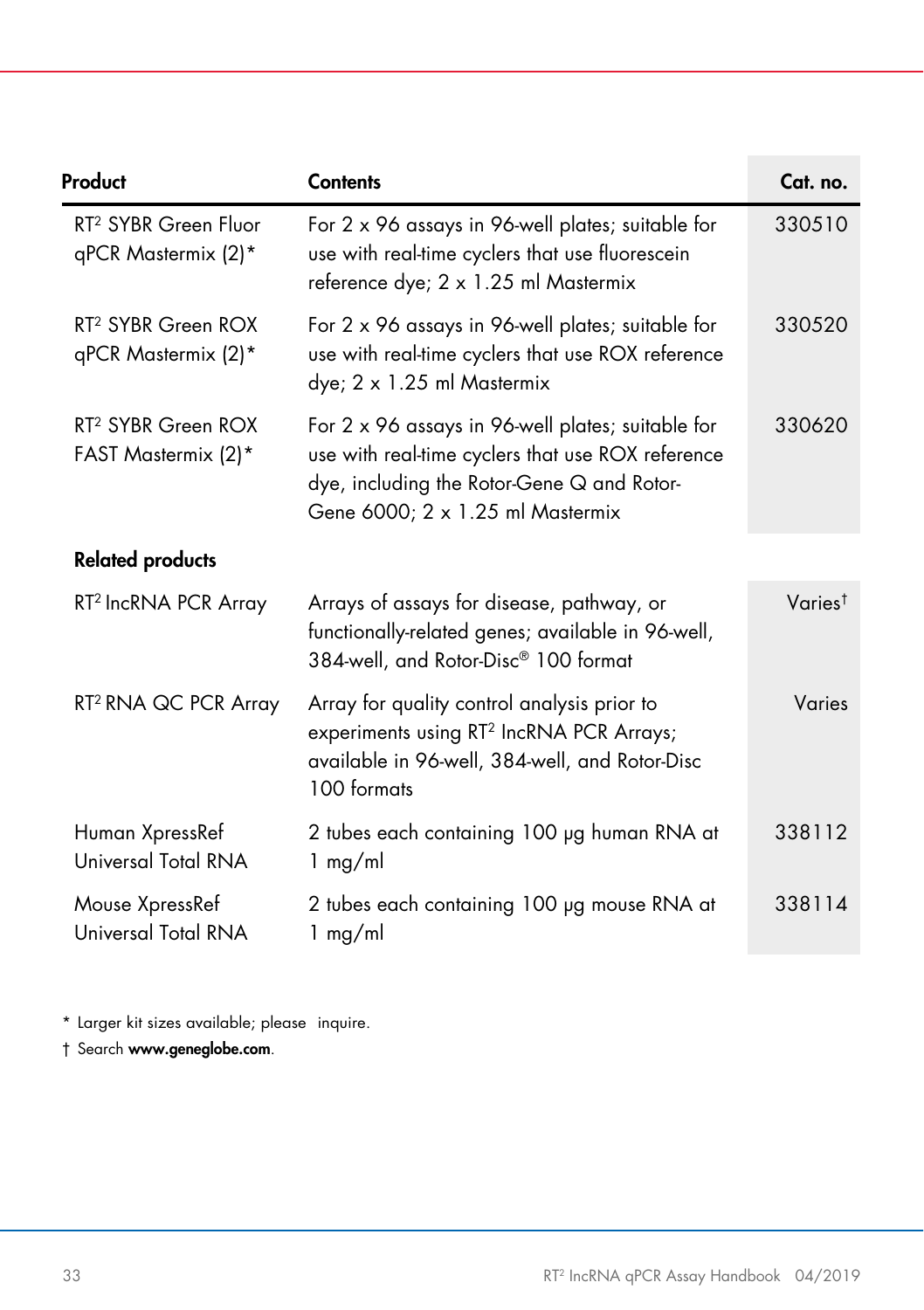| Product                                                 | <b>Contents</b>                                                                                                                                                                          | Cat. no.            |
|---------------------------------------------------------|------------------------------------------------------------------------------------------------------------------------------------------------------------------------------------------|---------------------|
| RT <sup>2</sup> SYBR Green Fluor<br>qPCR Mastermix (2)* | For 2 x 96 assays in 96-well plates; suitable for<br>use with real-time cyclers that use fluorescein<br>reference dye; 2 x 1.25 ml Mastermix                                             | 330510              |
| RT <sup>2</sup> SYBR Green ROX<br>qPCR Mastermix (2)*   | For 2 x 96 assays in 96-well plates; suitable for<br>use with real-time cyclers that use ROX reference<br>dye; 2 x 1.25 ml Mastermix                                                     | 330520              |
| RT <sup>2</sup> SYBR Green ROX<br>FAST Mastermix (2)*   | For 2 x 96 assays in 96-well plates; suitable for<br>use with real-time cyclers that use ROX reference<br>dye, including the Rotor-Gene Q and Rotor-<br>Gene 6000; 2 x 1.25 ml Mastermix | 330620              |
| <b>Related products</b>                                 |                                                                                                                                                                                          |                     |
| RT <sup>2</sup> IncRNA PCR Array                        | Arrays of assays for disease, pathway, or<br>functionally-related genes; available in 96-well,<br>384-well, and Rotor-Disc® 100 format                                                   | Varies <sup>†</sup> |
| RT <sup>2</sup> RNA QC PCR Array                        | Array for quality control analysis prior to<br>experiments using RT <sup>2</sup> IncRNA PCR Arrays;<br>available in 96-well, 384-well, and Rotor-Disc<br>100 formats                     | Varies              |
| Human XpressRef<br>Universal Total RNA                  | 2 tubes each containing 100 µg human RNA at<br>1 mg/ml                                                                                                                                   | 338112              |
| Mouse XpressRef<br>Universal Total RNA                  | 2 tubes each containing 100 µg mouse RNA at<br>$1$ mg/ml                                                                                                                                 | 338114              |

\* Larger kit sizes available; please inquire.

† Search [www.geneglobe.com](http://www.geneglobe.com/).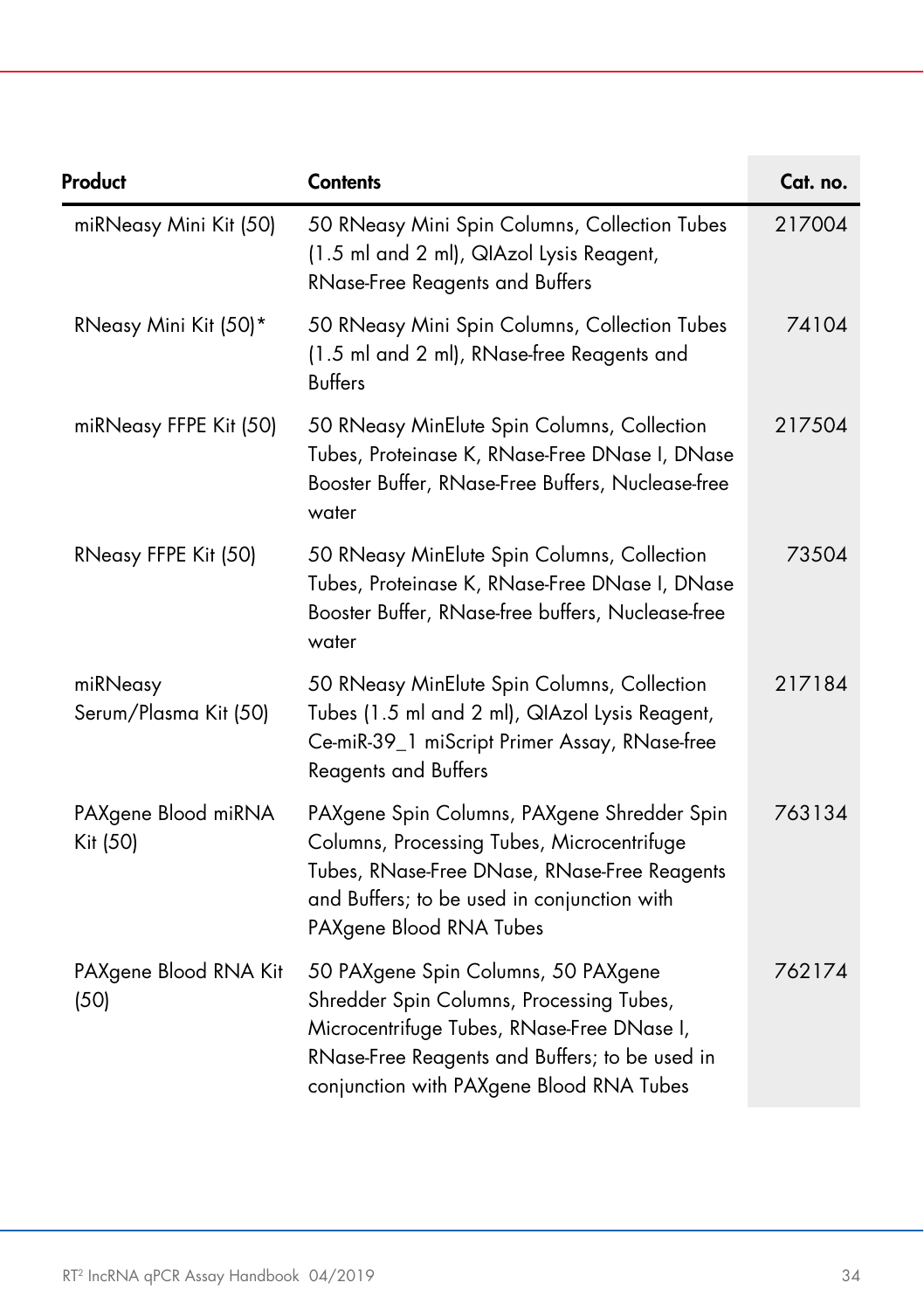| Product                           | <b>Contents</b>                                                                                                                                                                                                             | Cat. no. |
|-----------------------------------|-----------------------------------------------------------------------------------------------------------------------------------------------------------------------------------------------------------------------------|----------|
| miRNeasy Mini Kit (50)            | 50 RNeasy Mini Spin Columns, Collection Tubes<br>(1.5 ml and 2 ml), QIAzol Lysis Reagent,<br><b>RNase-Free Reagents and Buffers</b>                                                                                         | 217004   |
| RNeasy Mini Kit (50)*             | 50 RNeasy Mini Spin Columns, Collection Tubes<br>(1.5 ml and 2 ml), RNase-free Reagents and<br><b>Buffers</b>                                                                                                               | 74104    |
| miRNeasy FFPE Kit (50)            | 50 RNeasy MinElute Spin Columns, Collection<br>Tubes, Proteinase K, RNase-Free DNase I, DNase<br>Booster Buffer, RNase-Free Buffers, Nuclease-free<br>water                                                                 | 217504   |
| RNeasy FFPE Kit (50)              | 50 RNeasy MinElute Spin Columns, Collection<br>Tubes, Proteinase K, RNase-Free DNase I, DNase<br>Booster Buffer, RNase-free buffers, Nuclease-free<br>water                                                                 | 73504    |
| miRNeasy<br>Serum/Plasma Kit (50) | 50 RNeasy MinElute Spin Columns, Collection<br>Tubes (1.5 ml and 2 ml), QIAzol Lysis Reagent,<br>Ce-miR-39_1 miScript Primer Assay, RNase-free<br><b>Reagents and Buffers</b>                                               | 217184   |
| PAXgene Blood miRNA<br>Kit (50)   | PAXgene Spin Columns, PAXgene Shredder Spin<br>Columns, Processing Tubes, Microcentrifuge<br>Tubes, RNase-Free DNase, RNase-Free Reagents<br>and Buffers; to be used in conjunction with<br>PAXgene Blood RNA Tubes         | 763134   |
| PAXgene Blood RNA Kit<br>(50)     | 50 PAXgene Spin Columns, 50 PAXgene<br>Shredder Spin Columns, Processing Tubes,<br>Microcentrifuge Tubes, RNase-Free DNase I,<br>RNase-Free Reagents and Buffers; to be used in<br>conjunction with PAXgene Blood RNA Tubes | 762174   |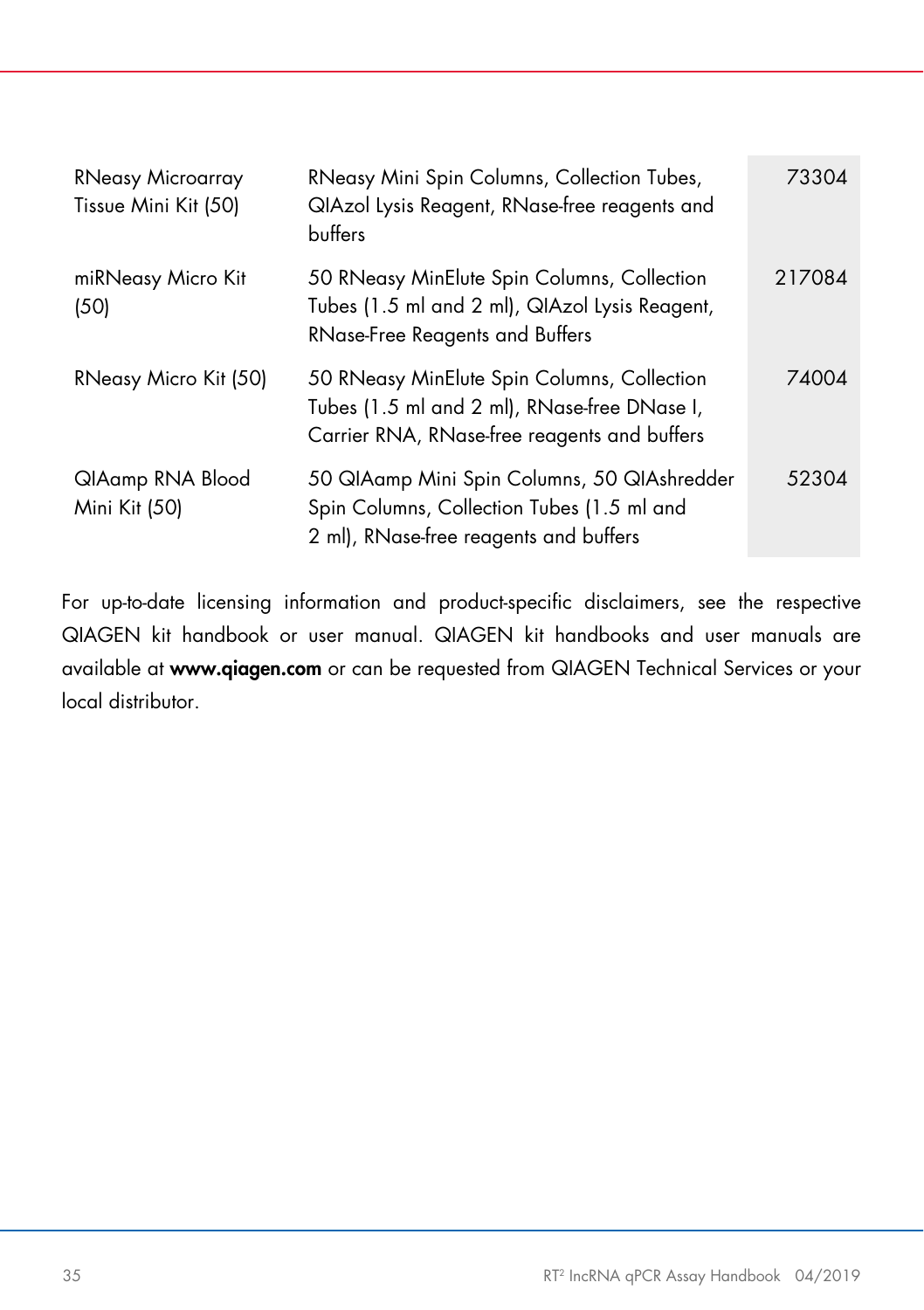| <b>RNeasy Microarray</b><br>Tissue Mini Kit (50) | RNeasy Mini Spin Columns, Collection Tubes,<br>QIAzol Lysis Reagent, RNase-free reagents and<br>buffers                                     | 73304  |
|--------------------------------------------------|---------------------------------------------------------------------------------------------------------------------------------------------|--------|
| miRNeasy Micro Kit<br>(50)                       | 50 RNeasy MinElute Spin Columns, Collection<br>Tubes (1.5 ml and 2 ml), QIAzol Lysis Reagent,<br><b>RNase-Free Reagents and Buffers</b>     | 217084 |
| RNeasy Micro Kit (50)                            | 50 RNeasy MinElute Spin Columns, Collection<br>Tubes (1.5 ml and 2 ml), RNase-free DNase I,<br>Carrier RNA, RNase-free reagents and buffers | 74004  |
| QIAamp RNA Blood<br>Mini Kit (50)                | 50 QIAamp Mini Spin Columns, 50 QIAshredder<br>Spin Columns, Collection Tubes (1.5 ml and<br>2 ml), RNase-free reagents and buffers         | 52304  |

For up-to-date licensing information and product-specific disclaimers, see the respective QIAGEN kit handbook or user manual. QIAGEN kit handbooks and user manuals are available at [www.qiagen.com](http://www.qiagen.com/) or can be requested from QIAGEN Technical Services or your local distributor.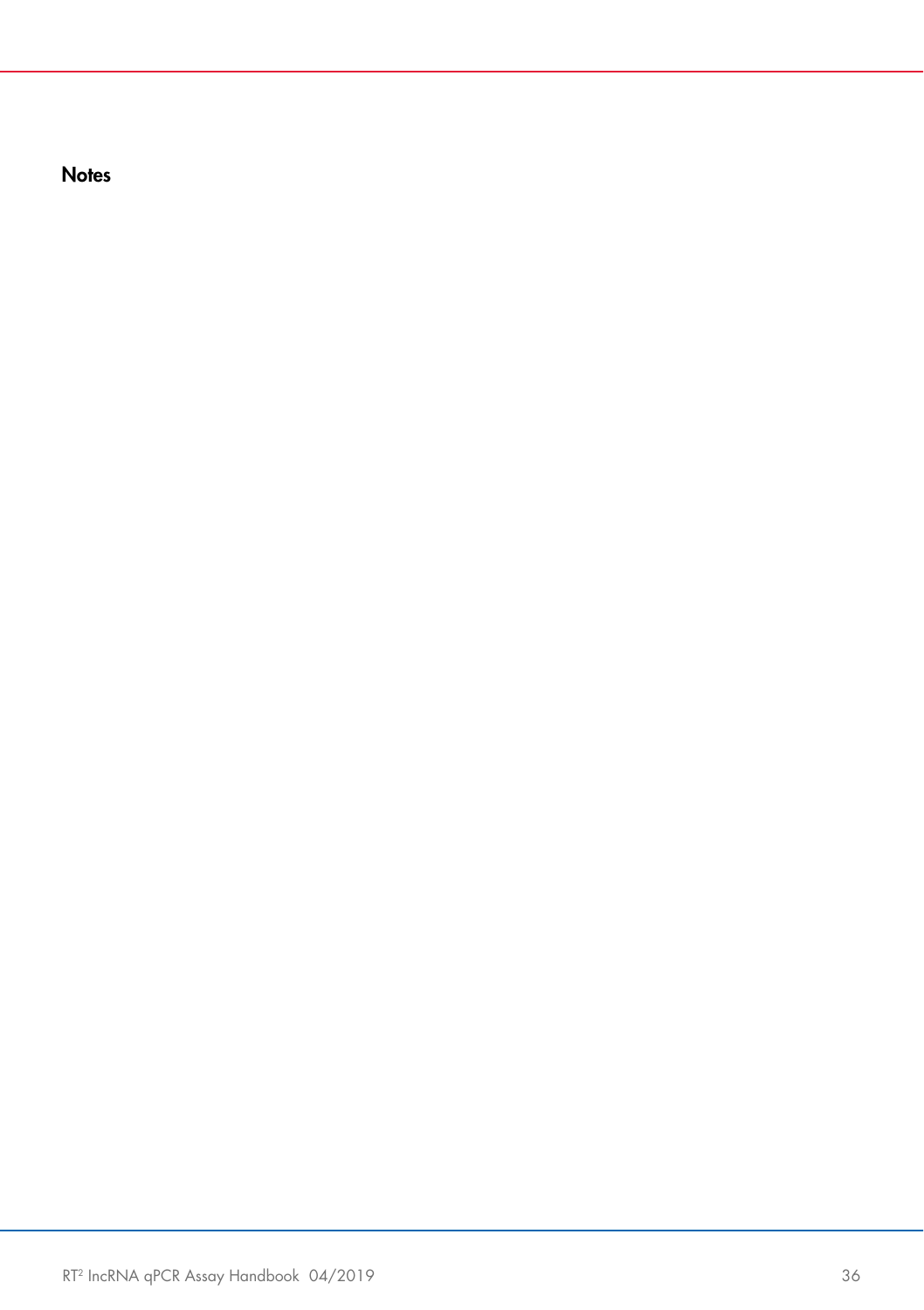**Notes**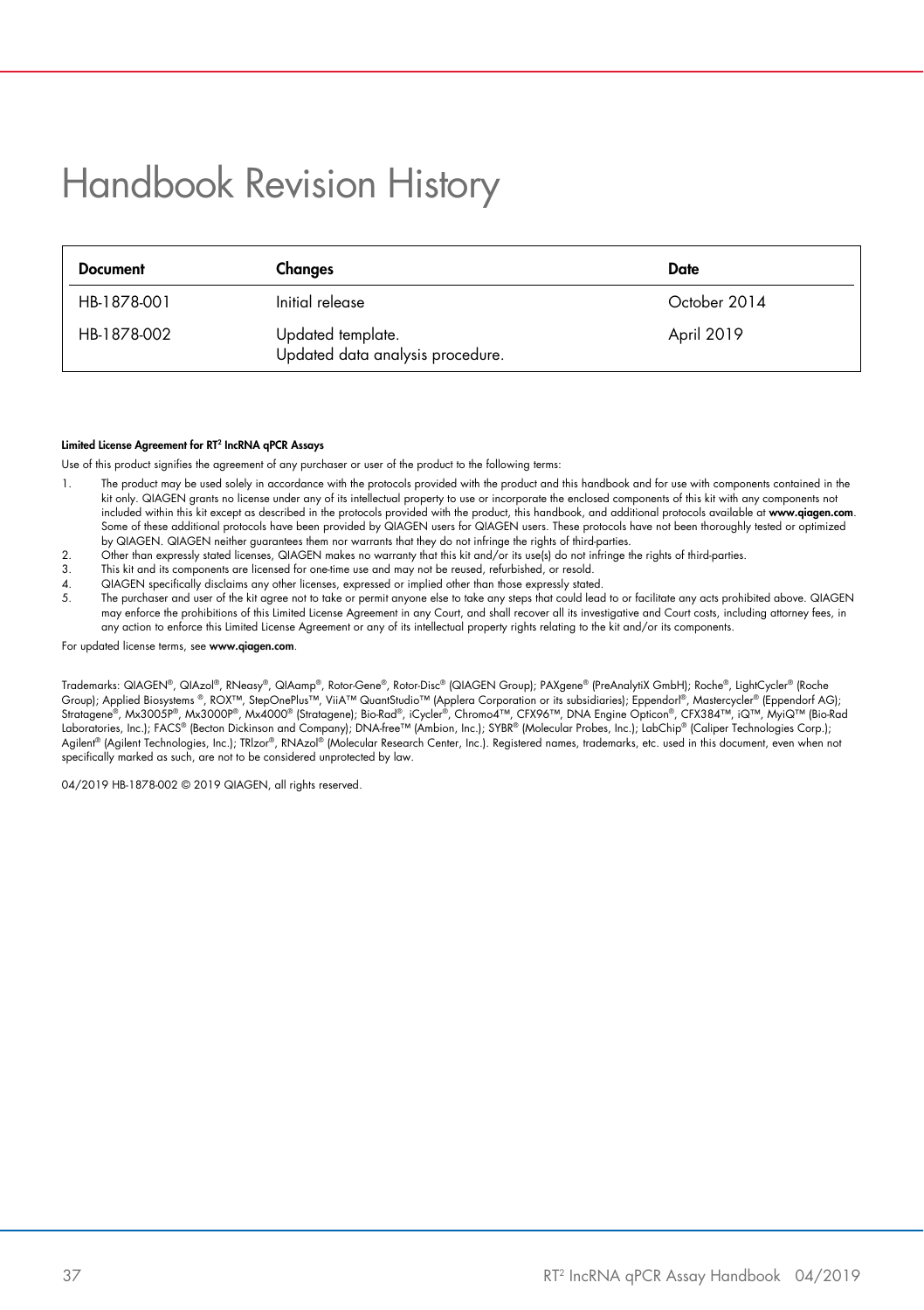# <span id="page-36-0"></span>Handbook Revision History

| <b>Document</b> | Changes                                               | Date         |
|-----------------|-------------------------------------------------------|--------------|
| HB-1878-001     | Initial release                                       | October 2014 |
| HB-1878-002     | Updated template.<br>Updated data analysis procedure. | April 2019   |

#### Limited License Agreement for RT<sup>2</sup> IncRNA qPCR Assays

Use of this product signifies the agreement of any purchaser or user of the product to the following terms:

- 1. The product may be used solely in accordance with the protocols provided with the product and this handbook and for use with components contained in the kit only. QIAGEN grants no license under any of its intellectual property to use or incorporate the enclosed components of this kit with any components not included within this kit except as described in the protocols provided with the product, this handbook, and additional protocols available at [www.qiagen.com](https://www.qiagen.com/). Some of these additional protocols have been provided by QIAGEN users for QIAGEN users. These protocols have not been thoroughly tested or optimized by QIAGEN. QIAGEN neither guarantees them nor warrants that they do not infringe the rights of third-parties.
- 2. Other than expressly stated licenses, QIAGEN makes no warranty that this kit and/or its use(s) do not infringe the rights of third-parties.<br>3. This kit and its components are licensed for one-time use and may not be reu
- 3. This kit and its components are licensed for one-time use and may not be reused, refurbished, or resold.<br>4. OLAGEN considerably disclaims any other licenses, organised or implied other than these organises tates
- 4. QIAGEN specifically disclaims any other licenses, expressed or implied other than those expressly stated<br>5. The purchaser and user of the kit garee not to take or permit anyone else to take any steps that could leav
- The purchaser and user of the kit agree not to take or permit anyone else to take any steps that could lead to or facilitate any acts prohibited above. QIAGEN may entorce the prohibitions ot this Limited License Agreement in any Court, and shall recover all its investigative and Court costs, including attorney tees, in<br>any action to enforce this Limited License Agreement or any

For updated license terms, see www.aiagen.com.

Trademarks: QIAGEN®, QIAzol®, RNeasy®, QIAamp®, Rotor-Gene®, Rotor-Disc® (QIAGEN Group); PAXgene® (PreAnalytiX GmbH); Roche®, LightCycler® (Roche Group]; Applied Biosystems ®, ROX™, StepOnePlus™, ViiA™ QuantStudio™ (Applera Corporation or its subsidiaries); Eppendorl®, Mastercycler® (Eppendorf AG);<br>Stratagene®, Mx3005P®, Mx3000P®, Mx4000® (Stratagene); Bio-Rad®, iC Laboratories, Inc.); FACS® (Becton Dickinson and Company); DNA-free™ (Ambion, Inc.); SYBR® (Molecular Probes, Inc.); LabChip® (Caliper Technologies Corp.); Agilent® (Agilent Technologies, Inc.); TRlzor®, RNAzol® (Molecular Research Center, Inc.). Registered names, trademarks, etc. used in this document, even when not specifically marked as such, are not to be considered unprotected by law.

04/2019 HB-1878-002 © 2019 QIAGEN, all rights reserved.